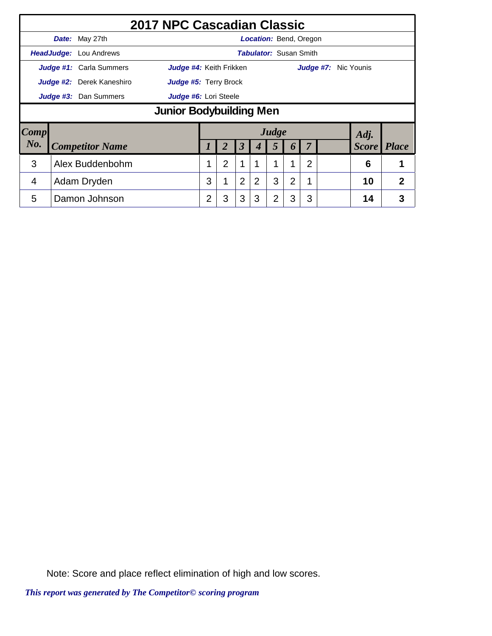|                                                |                         |                                | 2017 NPC Cascadian Classic |                |                |                      |   |                               |                |                |                             |  |      |                    |
|------------------------------------------------|-------------------------|--------------------------------|----------------------------|----------------|----------------|----------------------|---|-------------------------------|----------------|----------------|-----------------------------|--|------|--------------------|
|                                                |                         | Date: May 27th                 |                            |                |                |                      |   | <b>Location: Bend, Oregon</b> |                |                |                             |  |      |                    |
|                                                |                         | HeadJudge: Lou Andrews         |                            |                |                |                      |   | <b>Tabulator: Susan Smith</b> |                |                |                             |  |      |                    |
|                                                |                         | <b>Judge #1:</b> Carla Summers | Judge #4: Keith Frikken    |                |                |                      |   |                               |                |                | <b>Judge #7:</b> Nic Younis |  |      |                    |
|                                                |                         | Judge #2: Derek Kaneshiro      | Judge #5: Terry Brock      |                |                |                      |   |                               |                |                |                             |  |      |                    |
| Judge #3: Dan Summers<br>Judge #6: Lori Steele |                         |                                |                            |                |                |                      |   |                               |                |                |                             |  |      |                    |
|                                                | Junior Bodybuilding Men |                                |                            |                |                |                      |   |                               |                |                |                             |  |      |                    |
| $\boldsymbol{Comp}$                            |                         |                                |                            |                |                |                      |   | Judge                         |                |                |                             |  | Adj. |                    |
| No.                                            |                         | <b>Competitor Name</b>         |                            |                | 2              | $\boldsymbol{\beta}$ | 4 | 5                             | 6              |                |                             |  |      | <b>Score</b> Place |
| 3                                              |                         | Alex Buddenbohm                |                            | 1              | $\overline{2}$ | 1                    |   |                               | 1              | $\overline{2}$ |                             |  | 6    |                    |
| 4                                              |                         | Adam Dryden                    |                            | 3              |                | 2                    | 2 | 3                             | $\overline{2}$ | 1              |                             |  | 10   | 2                  |
| 5                                              |                         | Damon Johnson                  |                            | $\overline{2}$ | 3              | 3                    | 3 | 2                             | 3              | 3              |                             |  | 14   | 3                  |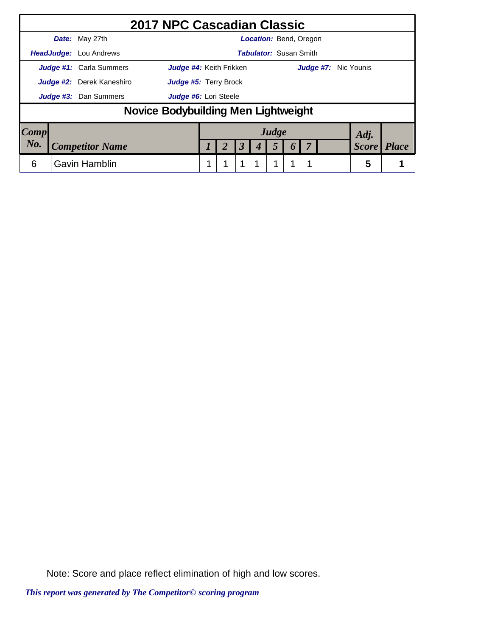|      | 2017 NPC Cascadian Classic          |                         |  |                      |                               |                  |                             |              |              |
|------|-------------------------------------|-------------------------|--|----------------------|-------------------------------|------------------|-----------------------------|--------------|--------------|
|      | Date: May 27th                      |                         |  |                      | <b>Location: Bend, Oregon</b> |                  |                             |              |              |
|      | <b>HeadJudge:</b> Lou Andrews       |                         |  |                      | <b>Tabulator: Susan Smith</b> |                  |                             |              |              |
|      | Judge #1: Carla Summers             | Judge #4: Keith Frikken |  |                      |                               |                  | <b>Judge #7:</b> Nic Younis |              |              |
|      | Judge #2: Derek Kaneshiro           | Judge #5: Terry Brock   |  |                      |                               |                  |                             |              |              |
|      | Judge #3: Dan Summers               | Judge #6: Lori Steele   |  |                      |                               |                  |                             |              |              |
|      | Novice Bodybuilding Men Lightweight |                         |  |                      |                               |                  |                             |              |              |
| Comp |                                     |                         |  |                      | Judge                         |                  |                             | Adj.         |              |
| No.  | <b>Competitor Name</b>              |                         |  | $\boldsymbol{\beta}$ | 5                             | $\boldsymbol{v}$ |                             | <b>Score</b> | <b>Place</b> |
| 6    | <b>Gavin Hamblin</b>                |                         |  | 1                    |                               |                  |                             | 5            |              |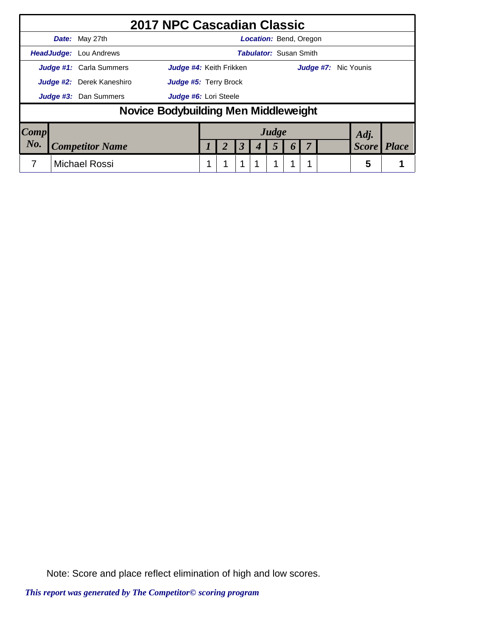|                     | 2017 NPC Cascadian Classic           |                              |  |                      |                               |   |                      |              |              |
|---------------------|--------------------------------------|------------------------------|--|----------------------|-------------------------------|---|----------------------|--------------|--------------|
|                     | Date: May 27th                       |                              |  |                      | <b>Location: Bend, Oregon</b> |   |                      |              |              |
|                     | <b>HeadJudge:</b> Lou Andrews        |                              |  |                      | <b>Tabulator: Susan Smith</b> |   |                      |              |              |
|                     | <b>Judge #1:</b> Carla Summers       | Judge #4: Keith Frikken      |  |                      |                               |   | Judge #7: Nic Younis |              |              |
|                     | Judge #2: Derek Kaneshiro            | <b>Judge #5: Terry Brock</b> |  |                      |                               |   |                      |              |              |
|                     | <b>Judge #3:</b> Dan Summers         | Judge #6: Lori Steele        |  |                      |                               |   |                      |              |              |
|                     | Novice Bodybuilding Men Middleweight |                              |  |                      |                               |   |                      |              |              |
| $\boldsymbol{Comp}$ |                                      |                              |  |                      | Judge                         |   |                      | Adj.         |              |
| No.                 | <b>Competitor Name</b>               |                              |  | $\boldsymbol{\beta}$ | 5                             | O |                      | <b>Score</b> | <b>Place</b> |
|                     | <b>Michael Rossi</b>                 |                              |  |                      |                               |   |                      | 5            |              |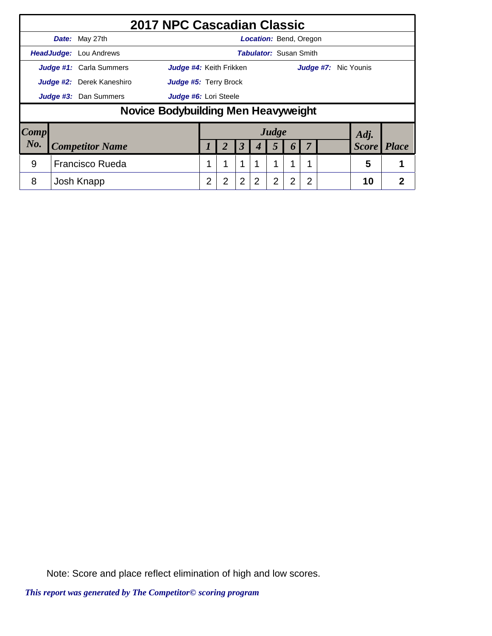|                        |                           |                                     | 2017 NPC Cascadian Classic |   |                       |                      |                               |                |                  |   |                      |              |                |
|------------------------|---------------------------|-------------------------------------|----------------------------|---|-----------------------|----------------------|-------------------------------|----------------|------------------|---|----------------------|--------------|----------------|
|                        |                           | Date: May 27th                      |                            |   |                       |                      | <b>Location:</b> Bend, Oregon |                |                  |   |                      |              |                |
|                        |                           | <b>HeadJudge:</b> Lou Andrews       |                            |   |                       |                      | <b>Tabulator: Susan Smith</b> |                |                  |   |                      |              |                |
|                        |                           | Judge #1: Carla Summers             | Judge #4: Keith Frikken    |   |                       |                      |                               |                |                  |   | Judge #7: Nic Younis |              |                |
|                        | Judge #2: Derek Kaneshiro |                                     |                            |   | Judge #5: Terry Brock |                      |                               |                |                  |   |                      |              |                |
|                        | Judge #3: Dan Summers     |                                     |                            |   | Judge #6: Lori Steele |                      |                               |                |                  |   |                      |              |                |
|                        |                           | Novice Bodybuilding Men Heavyweight |                            |   |                       |                      |                               |                |                  |   |                      |              |                |
| $\lfloor Comp \rfloor$ |                           |                                     |                            |   |                       |                      |                               | Judge          |                  |   |                      | Adj.         |                |
| No.                    |                           | <b>Competitor Name</b>              |                            |   | 2                     | $\boldsymbol{\beta}$ |                               | 5              | $\boldsymbol{0}$ |   |                      | <b>Score</b> | <b>Place</b>   |
| 9                      |                           | <b>Francisco Rueda</b>              |                            |   | 1                     | 1                    | 1                             | 1              | 1                |   |                      | 5            |                |
| 8                      |                           | Josh Knapp                          |                            | 2 | 2                     | $\overline{2}$       | 2                             | $\overline{2}$ | 2                | 2 |                      | 10           | $\overline{2}$ |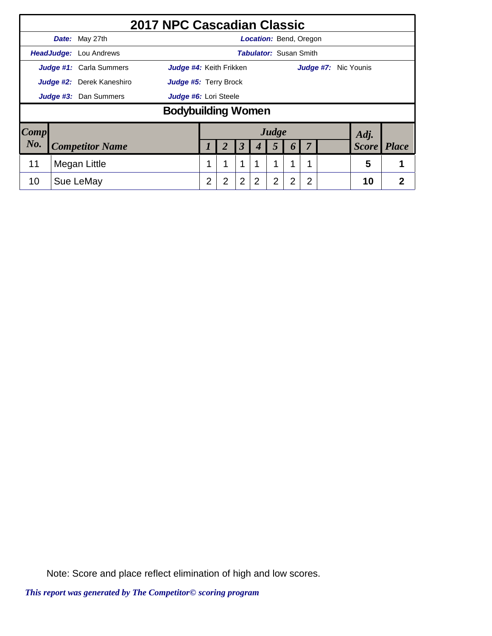|      |                                                    |                                  | 2017 NPC Cascadian Classic   |                |   |                      |   |                               |                  |                |                      |              |                |
|------|----------------------------------------------------|----------------------------------|------------------------------|----------------|---|----------------------|---|-------------------------------|------------------|----------------|----------------------|--------------|----------------|
|      |                                                    | Date: May 27th                   |                              |                |   |                      |   | <b>Location: Bend, Oregon</b> |                  |                |                      |              |                |
|      |                                                    | <b>HeadJudge:</b> Lou Andrews    |                              |                |   |                      |   | <b>Tabulator: Susan Smith</b> |                  |                |                      |              |                |
|      |                                                    | Judge #1: Carla Summers          | Judge #4: Keith Frikken      |                |   |                      |   |                               |                  |                | Judge #7: Nic Younis |              |                |
|      |                                                    | <b>Judge #2:</b> Derek Kaneshiro | <b>Judge #5: Terry Brock</b> |                |   |                      |   |                               |                  |                |                      |              |                |
|      |                                                    | Judge #3: Dan Summers            |                              |                |   |                      |   |                               |                  |                |                      |              |                |
|      | Judge #6: Lori Steele<br><b>Bodybuilding Women</b> |                                  |                              |                |   |                      |   |                               |                  |                |                      |              |                |
| Comp |                                                    |                                  |                              |                |   |                      |   | Judge                         |                  |                |                      | Adj.         |                |
| No.  |                                                    | <b>Competitor Name</b>           |                              |                |   | $\boldsymbol{\beta}$ |   | 5                             | $\boldsymbol{0}$ |                |                      | <b>Score</b> | <b>Place</b>   |
| 11   |                                                    | Megan Little                     |                              | 1              | 1 | 1                    |   | 1                             | 1                | 1              |                      | 5            |                |
| 10   |                                                    | Sue LeMay                        |                              | $\overline{2}$ | 2 | 2                    | 2 | $\overline{2}$                | $\overline{2}$   | $\overline{2}$ |                      | 10           | $\overline{2}$ |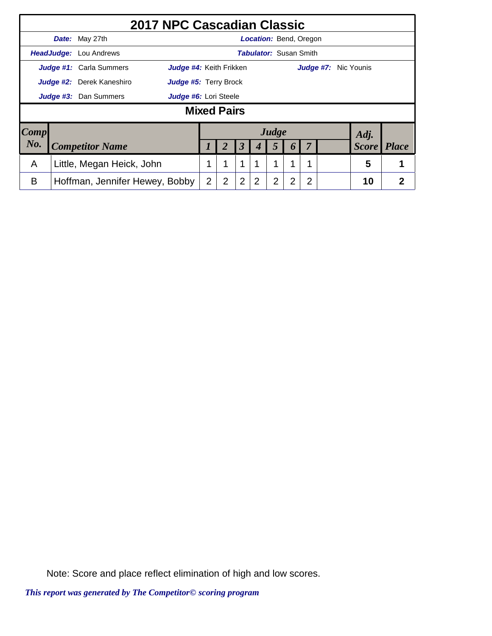|                                             |                              | 2017 NPC Cascadian Classic     |                              |                |                |                      |                               |                |                |   |                      |              |              |
|---------------------------------------------|------------------------------|--------------------------------|------------------------------|----------------|----------------|----------------------|-------------------------------|----------------|----------------|---|----------------------|--------------|--------------|
|                                             |                              | Date: May 27th                 |                              |                |                |                      | <b>Location: Bend, Oregon</b> |                |                |   |                      |              |              |
|                                             | HeadJudge:                   | Lou Andrews                    |                              |                |                |                      | <b>Tabulator:</b> Susan Smith |                |                |   |                      |              |              |
|                                             |                              | Judge #1: Carla Summers        | Judge #4: Keith Frikken      |                |                |                      |                               |                |                |   | Judge #7: Nic Younis |              |              |
|                                             |                              | Judge #2: Derek Kaneshiro      | <b>Judge #5: Terry Brock</b> |                |                |                      |                               |                |                |   |                      |              |              |
|                                             | <b>Judge #3:</b> Dan Summers |                                |                              |                |                |                      |                               |                |                |   |                      |              |              |
| Judge #6: Lori Steele<br><b>Mixed Pairs</b> |                              |                                |                              |                |                |                      |                               |                |                |   |                      |              |              |
| $\lfloor Comp \rfloor$                      |                              |                                |                              |                |                |                      |                               | Judge          |                |   |                      | Adj.         |              |
| No.                                         |                              | <b>Competitor Name</b>         |                              |                |                | $\boldsymbol{\beta}$ |                               | 5              |                |   |                      | <b>Score</b> | <b>Place</b> |
| A                                           |                              | Little, Megan Heick, John      |                              |                |                | 1                    |                               | 1              | 1              |   |                      | 5            |              |
| B                                           |                              | Hoffman, Jennifer Hewey, Bobby |                              | $\overline{2}$ | $\overline{2}$ | $\overline{2}$       | 2                             | $\overline{2}$ | $\overline{2}$ | 2 |                      | 10           | 2            |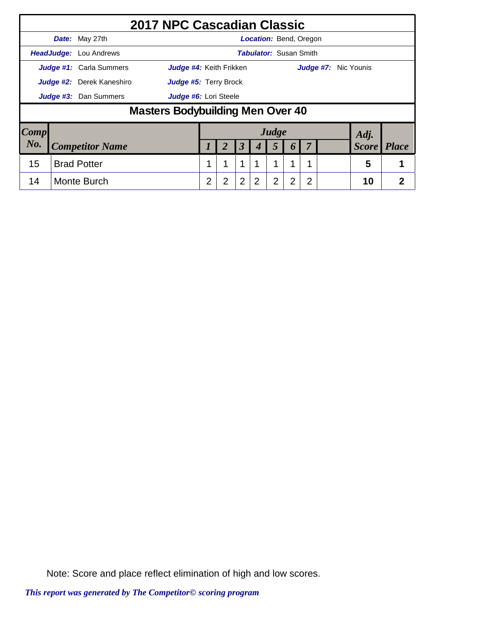|      |                           |                                | 2017 NPC Cascadian Classic       |                |                              |   |                               |                |                  |                |                             |              |              |
|------|---------------------------|--------------------------------|----------------------------------|----------------|------------------------------|---|-------------------------------|----------------|------------------|----------------|-----------------------------|--------------|--------------|
|      |                           | Date: May 27th                 |                                  |                |                              |   | <b>Location: Bend, Oregon</b> |                |                  |                |                             |              |              |
|      |                           | HeadJudge: Lou Andrews         |                                  |                |                              |   | <b>Tabulator: Susan Smith</b> |                |                  |                |                             |              |              |
|      |                           | <b>Judge #1:</b> Carla Summers | Judge #4: Keith Frikken          |                |                              |   |                               |                |                  |                | <b>Judge #7:</b> Nic Younis |              |              |
|      | Judge #2: Derek Kaneshiro |                                |                                  |                | <b>Judge #5: Terry Brock</b> |   |                               |                |                  |                |                             |              |              |
|      | Judge #3: Dan Summers     |                                |                                  |                | Judge #6: Lori Steele        |   |                               |                |                  |                |                             |              |              |
|      |                           |                                | Masters Bodybuilding Men Over 40 |                |                              |   |                               |                |                  |                |                             |              |              |
| Comp |                           |                                |                                  |                |                              |   |                               | Judge          |                  |                |                             | Adj.         |              |
| No.  |                           | <b>Competitor Name</b>         |                                  |                |                              | 3 |                               | 5              | $\boldsymbol{0}$ |                |                             | <b>Score</b> | <b>Place</b> |
| 15   |                           | <b>Brad Potter</b>             |                                  |                | 1                            | 1 |                               |                |                  |                |                             | 5            |              |
| 14   |                           | Monte Burch                    |                                  | $\overline{2}$ | $\overline{2}$               | 2 | 2                             | $\overline{2}$ | $\overline{2}$   | $\overline{2}$ |                             | 10           | 2            |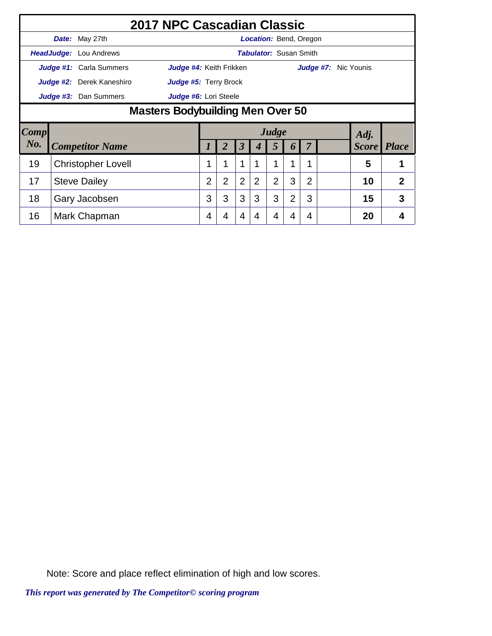|      |                                  | 2017 NPC Cascadian Classic |                |                |                      |                               |                |                |                |  |  |                      |                |
|------|----------------------------------|----------------------------|----------------|----------------|----------------------|-------------------------------|----------------|----------------|----------------|--|--|----------------------|----------------|
|      | Date: May 27th                   |                            |                |                |                      | <b>Location:</b> Bend, Oregon |                |                |                |  |  |                      |                |
|      | <b>HeadJudge:</b> Lou Andrews    |                            |                |                |                      | <b>Tabulator: Susan Smith</b> |                |                |                |  |  |                      |                |
|      | Judge #1: Carla Summers          | Judge #4: Keith Frikken    |                |                |                      |                               |                |                |                |  |  | Judge #7: Nic Younis |                |
|      | Judge #2: Derek Kaneshiro        | Judge #5: Terry Brock      |                |                |                      |                               |                |                |                |  |  |                      |                |
|      | Judge #3: Dan Summers            | Judge #6: Lori Steele      |                |                |                      |                               |                |                |                |  |  |                      |                |
|      | Masters Bodybuilding Men Over 50 |                            |                |                |                      |                               |                |                |                |  |  |                      |                |
| Comp |                                  |                            |                |                |                      |                               | Judge          |                |                |  |  | Adj.                 |                |
| No.  | <b>Competitor Name</b>           |                            |                |                | $\boldsymbol{\beta}$ | 4                             | 5              | 6              |                |  |  | <b>Score</b>         | <b>Place</b>   |
| 19   | <b>Christopher Lovell</b>        |                            | 1              |                | $\mathbf{1}$         | 1                             | 1              |                | 1              |  |  | 5                    | 1              |
| 17   | <b>Steve Dailey</b>              |                            | $\overline{2}$ | $\overline{2}$ | $\overline{2}$       | 2                             | $\overline{2}$ | 3              | $\overline{2}$ |  |  | 10                   | $\overline{2}$ |
| 18   | Gary Jacobsen                    |                            | 3              | 3              | 3                    | 3                             | 3              | $\overline{2}$ | 3              |  |  | 15                   | 3              |
| 16   | Mark Chapman                     |                            | 4              | 4              | 4                    | 4                             | 4              | 4              | 4              |  |  | 20                   | 4              |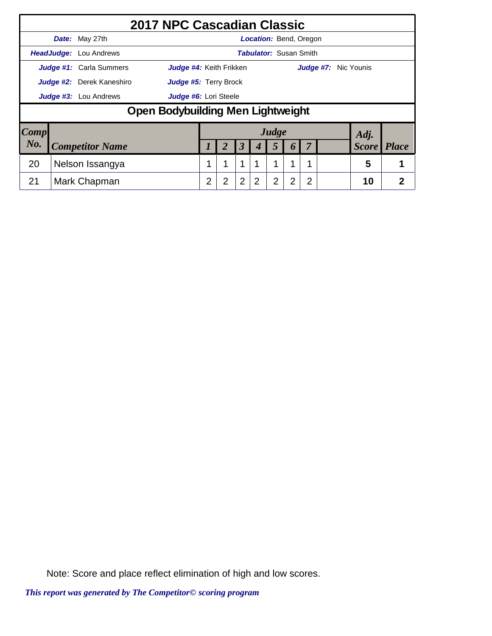|      |                                  |                                   | 2017 NPC Cascadian Classic     |                |                              |                      |                               |       |                  |   |                      |              |                |
|------|----------------------------------|-----------------------------------|--------------------------------|----------------|------------------------------|----------------------|-------------------------------|-------|------------------|---|----------------------|--------------|----------------|
|      |                                  | Date: May 27th                    |                                |                |                              |                      | <b>Location: Bend, Oregon</b> |       |                  |   |                      |              |                |
|      |                                  | <b>HeadJudge:</b> Lou Andrews     |                                |                |                              |                      | <b>Tabulator: Susan Smith</b> |       |                  |   |                      |              |                |
|      |                                  | Judge #1: Carla Summers           | <b>Judge #4:</b> Keith Frikken |                |                              |                      |                               |       |                  |   | Judge #7: Nic Younis |              |                |
|      | <b>Judge #2:</b> Derek Kaneshiro |                                   |                                |                | <b>Judge #5: Terry Brock</b> |                      |                               |       |                  |   |                      |              |                |
|      | <b>Judge #3:</b> Lou Andrews     |                                   |                                |                | Judge #6: Lori Steele        |                      |                               |       |                  |   |                      |              |                |
|      |                                  | Open Bodybuilding Men Lightweight |                                |                |                              |                      |                               |       |                  |   |                      |              |                |
| Comp |                                  |                                   |                                |                |                              |                      |                               | Judge |                  |   |                      | Adj.         |                |
| No.  |                                  | <b>Competitor Name</b>            |                                |                |                              | $\boldsymbol{\beta}$ |                               | 5     | $\boldsymbol{0}$ |   |                      | <b>Score</b> | <b>Place</b>   |
| 20   |                                  | Nelson Issangya                   |                                | 1              | 1                            | $\mathbf 1$          |                               | 1     | 1                |   |                      | 5            |                |
| 21   |                                  | Mark Chapman                      |                                | $\overline{2}$ | $\overline{2}$               | $\overline{2}$       | 2                             | 2     | $\overline{2}$   | 2 |                      | 10           | $\overline{2}$ |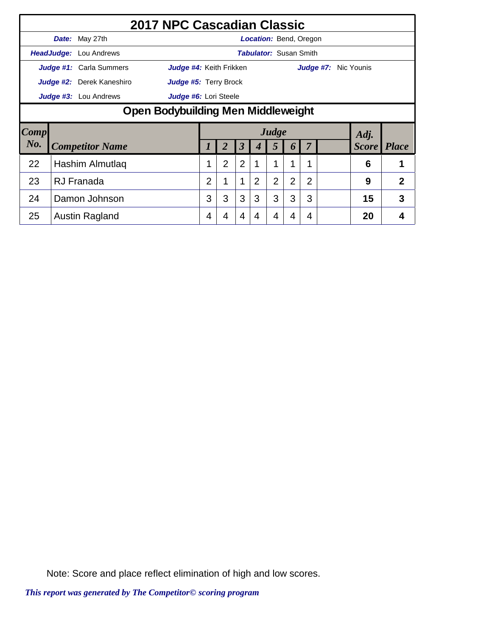|             |                                    | 2017 NPC Cascadian Classic |                |                |                      |                |                               |                |                |  |                    |   |  |  |
|-------------|------------------------------------|----------------------------|----------------|----------------|----------------------|----------------|-------------------------------|----------------|----------------|--|--------------------|---|--|--|
|             | <b>Date:</b> May 27th              |                            |                |                |                      |                | <b>Location:</b> Bend, Oregon |                |                |  |                    |   |  |  |
|             | HeadJudge: Lou Andrews             |                            |                |                |                      |                | <b>Tabulator:</b> Susan Smith |                |                |  |                    |   |  |  |
|             | Judge #1: Carla Summers            | Judge #4: Keith Frikken    |                |                |                      |                |                               |                | Judge #7:      |  | Nic Younis         |   |  |  |
|             | Judge #2: Derek Kaneshiro          | Judge #5: Terry Brock      |                |                |                      |                |                               |                |                |  |                    |   |  |  |
|             | <b>Judge #3:</b> Lou Andrews       | Judge #6: Lori Steele      |                |                |                      |                |                               |                |                |  |                    |   |  |  |
|             | Open Bodybuilding Men Middleweight |                            |                |                |                      |                |                               |                |                |  |                    |   |  |  |
| <b>Comp</b> |                                    | Judge<br>Adj.              |                |                |                      |                |                               |                |                |  |                    |   |  |  |
| No.         | <b>Competitor Name</b>             |                            | 1              | 2              | $\boldsymbol{\beta}$ | 4              | 5                             | 6              |                |  | <b>Score</b> Place |   |  |  |
| 22          | Hashim Almutlaq                    |                            | 1              | $\overline{2}$ | $\overline{2}$       | 1              | 1                             | 1              | 1              |  | 6                  |   |  |  |
| 23          | <b>RJ</b> Franada                  |                            | $\overline{2}$ |                | 1                    | $\overline{2}$ | $\overline{2}$                | $\overline{2}$ | $\overline{2}$ |  | 9                  | 2 |  |  |
| 24          | Damon Johnson                      |                            | 3              | 3              | 3                    | 3              | 3                             | 3              | 3              |  | 15                 | 3 |  |  |
| 25          | Austin Ragland                     |                            | 4              | 4              | 4                    | 4              | 4                             | 4              | 4              |  | 20                 | 4 |  |  |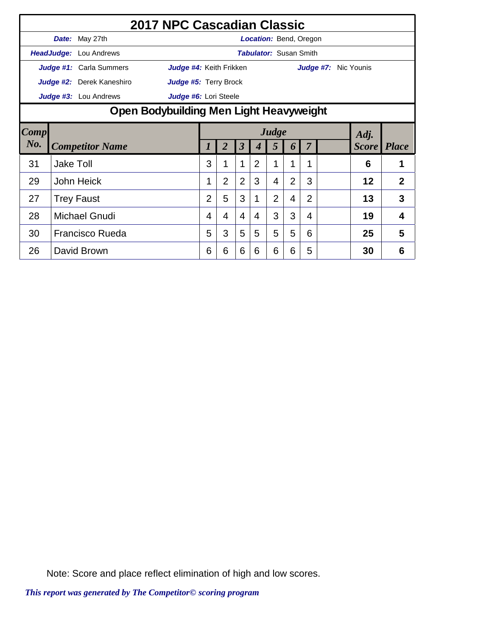|        |                  |                               | 2017 NPC Cascadian Classic              |                |                |                |                |                               |                |                |           |                    |                |
|--------|------------------|-------------------------------|-----------------------------------------|----------------|----------------|----------------|----------------|-------------------------------|----------------|----------------|-----------|--------------------|----------------|
|        |                  | Date: May 27th                |                                         |                |                |                |                | <b>Location: Bend, Oregon</b> |                |                |           |                    |                |
|        |                  | <b>HeadJudge:</b> Lou Andrews |                                         |                |                |                |                | <b>Tabulator: Susan Smith</b> |                |                |           |                    |                |
|        |                  | Judge #1: Carla Summers       | Judge #4: Keith Frikken                 |                |                |                |                |                               |                |                | Judge #7: | Nic Younis         |                |
|        |                  | Judge #2: Derek Kaneshiro     | Judge #5: Terry Brock                   |                |                |                |                |                               |                |                |           |                    |                |
|        |                  | Judge #3: Lou Andrews         | Judge #6: Lori Steele                   |                |                |                |                |                               |                |                |           |                    |                |
|        |                  |                               | Open Bodybuilding Men Light Heavyweight |                |                |                |                |                               |                |                |           |                    |                |
| Comp   |                  |                               | Judge<br>Adj.                           |                |                |                |                |                               |                |                |           |                    |                |
| $N0$ . |                  | <b>Competitor Name</b>        |                                         | $\prime$       | $\overline{2}$ | 3              | 4              | 5                             | 6              | $\overline{7}$ |           | <b>Score</b> Place |                |
| 31     | <b>Jake Toll</b> |                               |                                         | 3              |                | 1              | $\overline{2}$ | 1                             | 1              | 1              |           | 6                  |                |
| 29     |                  | John Heick                    |                                         | 1              | $\overline{2}$ | $\overline{2}$ | 3              | 4                             | $\overline{2}$ | 3              |           | 12                 | $\overline{2}$ |
| 27     |                  | <b>Trey Faust</b>             |                                         | $\overline{2}$ | 5              | 3              | 1              | $\overline{2}$                | 4              | $\overline{2}$ |           | 13                 | 3              |
| 28     |                  | <b>Michael Gnudi</b>          |                                         | 4              | 4              | 4              | 4              | 3                             | 3              | 4              |           | 19                 | 4              |
| 30     |                  | <b>Francisco Rueda</b>        |                                         | 5              | 3              | 5              | 5              | 5                             | 5              | 6              |           | 25                 | 5              |
| 26     |                  | David Brown                   |                                         | 6              | 6              | 6              | 6              | 6                             | 6              | 5              |           | 30                 | 6              |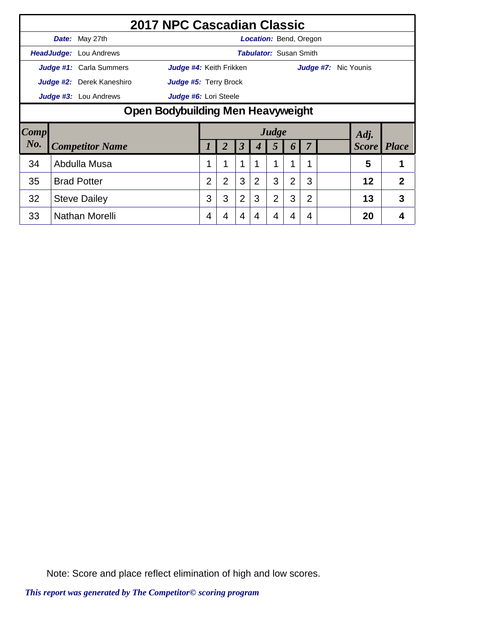|      |                                   | 2017 NPC Cascadian Classic |                |                |                |                               |                |                |                |           |                    |   |  |
|------|-----------------------------------|----------------------------|----------------|----------------|----------------|-------------------------------|----------------|----------------|----------------|-----------|--------------------|---|--|
|      | <b>Date:</b> May 27th             |                            |                |                |                | <b>Location:</b> Bend, Oregon |                |                |                |           |                    |   |  |
|      | HeadJudge: Lou Andrews            |                            |                |                |                | <b>Tabulator: Susan Smith</b> |                |                |                |           |                    |   |  |
|      | Judge #1: Carla Summers           | Judge #4: Keith Frikken    |                |                |                |                               |                |                |                | Judge #7: | Nic Younis         |   |  |
|      | Judge #2: Derek Kaneshiro         | Judge #5: Terry Brock      |                |                |                |                               |                |                |                |           |                    |   |  |
|      | Judge #3: Lou Andrews             | Judge #6: Lori Steele      |                |                |                |                               |                |                |                |           |                    |   |  |
|      | Open Bodybuilding Men Heavyweight |                            |                |                |                |                               |                |                |                |           |                    |   |  |
| Comp |                                   |                            |                |                |                |                               | Judge          |                |                |           | Adj.               |   |  |
| No.  | <b>Competitor Name</b>            |                            |                |                | 3              | 4                             | 5              | 6              |                |           | <b>Score</b> Place |   |  |
| 34   | Abdulla Musa                      |                            | 1              |                | 1              | 1                             | 1              | 1              | 1              |           | 5                  |   |  |
| 35   | <b>Brad Potter</b>                |                            | $\overline{2}$ | $\overline{2}$ | 3              | 2                             | 3              | $\overline{2}$ | 3              |           | 12                 | 2 |  |
| 32   | <b>Steve Dailey</b>               |                            | 3              | 3              | $\overline{2}$ | 3                             | $\overline{2}$ | 3              | $\overline{2}$ |           | 13                 | 3 |  |
| 33   | Nathan Morelli                    |                            | 4              | 4              | 4              | 4                             | 4              | 4              | 4              |           | 20                 | 4 |  |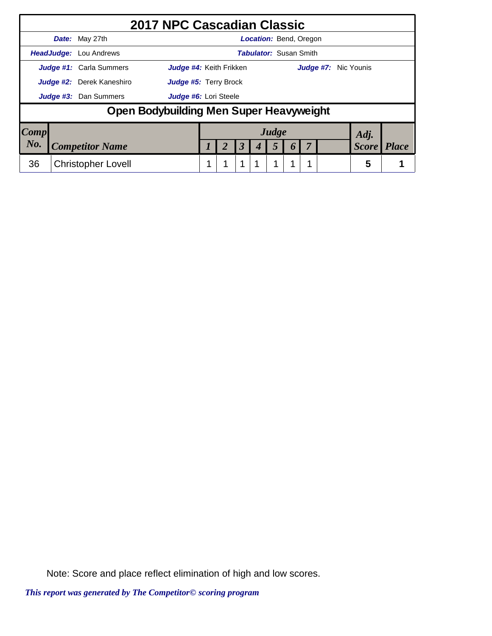|      | 2017 NPC Cascadian Classic              |                                |  |   |                               |  |                      |              |
|------|-----------------------------------------|--------------------------------|--|---|-------------------------------|--|----------------------|--------------|
|      | Date: May 27th                          |                                |  |   | <b>Location: Bend, Oregon</b> |  |                      |              |
|      | <b>HeadJudge:</b> Lou Andrews           |                                |  |   | <b>Tabulator: Susan Smith</b> |  |                      |              |
|      | <b>Judge #1:</b> Carla Summers          | <b>Judge #4:</b> Keith Frikken |  |   |                               |  | Judge #7: Nic Younis |              |
|      | Judge #2: Derek Kaneshiro               | Judge #5: Terry Brock          |  |   |                               |  |                      |              |
|      | <b>Judge #3:</b> Dan Summers            | Judge #6: Lori Steele          |  |   |                               |  |                      |              |
|      | Open Bodybuilding Men Super Heavyweight |                                |  |   |                               |  |                      |              |
| Comp |                                         |                                |  |   | Judge                         |  | Adj.                 |              |
| No.  | <b>Competitor Name</b>                  |                                |  | 3 |                               |  | <b>Score</b>         | <b>Place</b> |
| 36   | <b>Christopher Lovell</b>               |                                |  |   |                               |  | 5                    |              |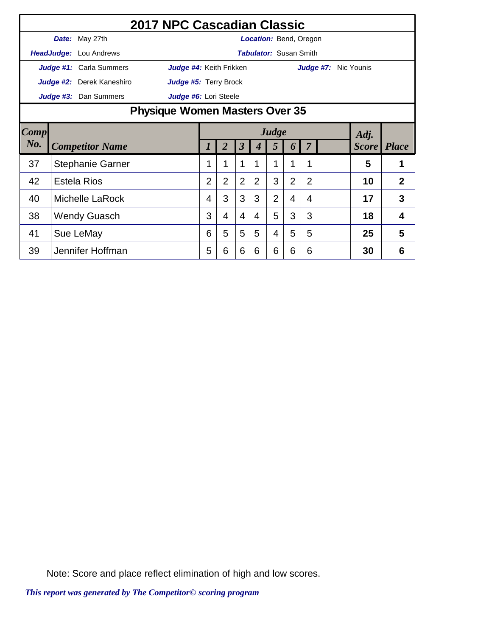|        |                                | 2017 NPC Cascadian Classic |                |   |                      |                |                               |                |                |  |                      |                |
|--------|--------------------------------|----------------------------|----------------|---|----------------------|----------------|-------------------------------|----------------|----------------|--|----------------------|----------------|
|        | Date: May 27th                 |                            |                |   |                      |                | <b>Location: Bend, Oregon</b> |                |                |  |                      |                |
|        | <b>HeadJudge:</b> Lou Andrews  |                            |                |   |                      |                | <b>Tabulator: Susan Smith</b> |                |                |  |                      |                |
|        | Judge #1: Carla Summers        | Judge #4: Keith Frikken    |                |   |                      |                |                               |                |                |  | Judge #7: Nic Younis |                |
|        | Judge #2: Derek Kaneshiro      | Judge #5: Terry Brock      |                |   |                      |                |                               |                |                |  |                      |                |
|        | Judge #3: Dan Summers          | Judge #6: Lori Steele      |                |   |                      |                |                               |                |                |  |                      |                |
|        | Physique Women Masters Over 35 |                            |                |   |                      |                |                               |                |                |  |                      |                |
| Comp   | Judge<br>Adj.                  |                            |                |   |                      |                |                               |                |                |  |                      |                |
| $N0$ . | <b>Competitor Name</b>         |                            |                | 2 | $\boldsymbol{\beta}$ |                | 5                             | 6              | $\overline{7}$ |  | <b>Score</b> Place   |                |
| 37     | <b>Stephanie Garner</b>        |                            | 1              |   | 1                    | 1              | 1                             |                | 1              |  | 5                    | 1              |
| 42     | <b>Estela Rios</b>             |                            | $\overline{2}$ | 2 | 2                    | 2              | 3                             | $\overline{2}$ | $\overline{2}$ |  | 10                   | $\overline{2}$ |
| 40     | Michelle LaRock                |                            | 4              | 3 | 3                    | 3              | $\overline{2}$                | 4              | 4              |  | 17                   | 3              |
| 38     | <b>Wendy Guasch</b>            |                            | 3              | 4 | $\overline{4}$       | $\overline{4}$ | 5                             | 3              | 3              |  | 18                   | 4              |
| 41     | Sue LeMay                      |                            | 6              | 5 | 5                    | 5              | 4                             | 5              | 5              |  | 25                   | 5              |
| 39     | Jennifer Hoffman               |                            | 5              | 6 | 6                    | 6              | 6                             | 6              | 6              |  | 30                   | 6              |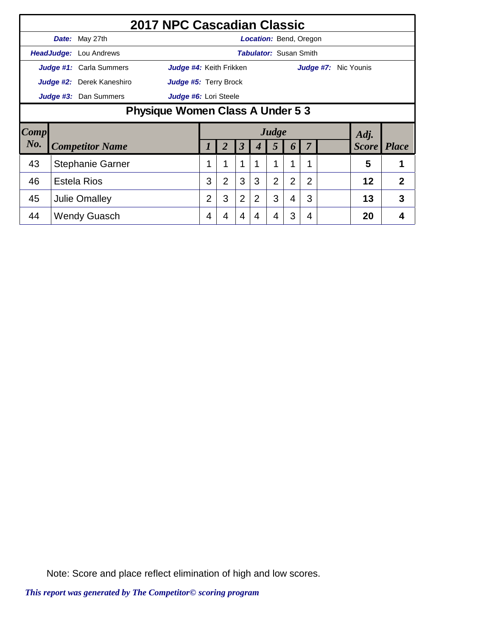|      |                                  | 2017 NPC Cascadian Classic |                |                |                      |   |                               |                  |                |           |  |                    |   |
|------|----------------------------------|----------------------------|----------------|----------------|----------------------|---|-------------------------------|------------------|----------------|-----------|--|--------------------|---|
|      | <b>Date:</b> May 27th            |                            |                |                |                      |   | <b>Location:</b> Bend, Oregon |                  |                |           |  |                    |   |
|      | <b>HeadJudge:</b> Lou Andrews    |                            |                |                |                      |   | <b>Tabulator: Susan Smith</b> |                  |                |           |  |                    |   |
|      | Judge #1: Carla Summers          | Judge #4: Keith Frikken    |                |                |                      |   |                               |                  |                | Judge #7: |  | Nic Younis         |   |
|      | Judge #2: Derek Kaneshiro        | Judge #5: Terry Brock      |                |                |                      |   |                               |                  |                |           |  |                    |   |
|      | Judge #3: Dan Summers            | Judge #6: Lori Steele      |                |                |                      |   |                               |                  |                |           |  |                    |   |
|      | Physique Women Class A Under 5 3 |                            |                |                |                      |   |                               |                  |                |           |  |                    |   |
| Comp |                                  |                            |                |                |                      |   | Judge                         |                  |                |           |  | Adj.               |   |
| No.  | <b>Competitor Name</b>           |                            |                | 2              | $\boldsymbol{\beta}$ | 4 | 5                             | $\boldsymbol{b}$ |                |           |  | <b>Score</b> Place |   |
| 43   | <b>Stephanie Garner</b>          |                            | 1              |                | 1                    | 1 | 1                             | 1                | 1              |           |  | 5                  |   |
| 46   | <b>Estela Rios</b>               |                            | 3              | $\overline{2}$ | 3                    | 3 | $\overline{2}$                | $\overline{2}$   | $\overline{2}$ |           |  | 12                 | 2 |
| 45   | <b>Julie Omalley</b>             |                            | $\overline{2}$ | 3              | $\overline{2}$       | 2 | 3                             | 4                | 3              |           |  | 13                 | 3 |
| 44   | <b>Wendy Guasch</b>              |                            | 4              |                | 4                    | 4 | 4                             | 3                | 4              |           |  | 20                 | 4 |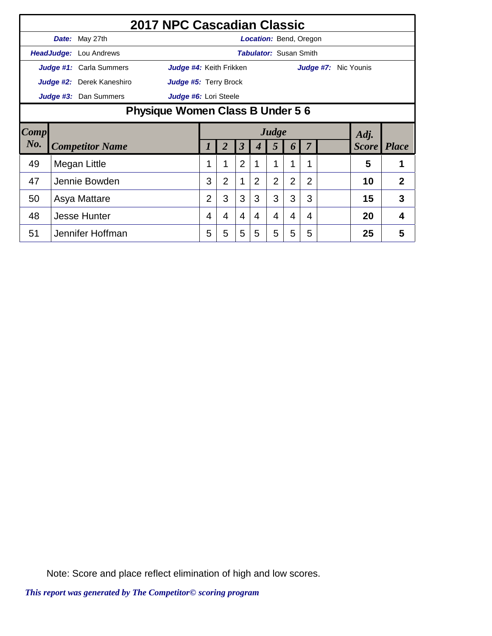|        | 2017 NPC Cascadian Classic |                                  |                |                |                      |                |                               |                       |                |  |  |                      |                |
|--------|----------------------------|----------------------------------|----------------|----------------|----------------------|----------------|-------------------------------|-----------------------|----------------|--|--|----------------------|----------------|
|        | Date: May 27th             |                                  |                |                |                      |                | <b>Location: Bend, Oregon</b> |                       |                |  |  |                      |                |
|        | HeadJudge: Lou Andrews     |                                  |                |                |                      |                | <b>Tabulator: Susan Smith</b> |                       |                |  |  |                      |                |
|        | Judge #1: Carla Summers    | Judge #4: Keith Frikken          |                |                |                      |                |                               |                       |                |  |  | Judge #7: Nic Younis |                |
|        | Judge #2: Derek Kaneshiro  | Judge #5: Terry Brock            |                |                |                      |                |                               |                       |                |  |  |                      |                |
|        | Judge #3: Dan Summers      | Judge #6: Lori Steele            |                |                |                      |                |                               |                       |                |  |  |                      |                |
|        |                            | Physique Women Class B Under 5 6 |                |                |                      |                |                               |                       |                |  |  |                      |                |
| Comp   |                            | Judge<br>Adj.                    |                |                |                      |                |                               |                       |                |  |  |                      |                |
| $N0$ . | <b>Competitor Name</b>     |                                  |                |                | $\boldsymbol{\beta}$ |                | 5                             | $\boldsymbol{\theta}$ |                |  |  | <b>Score</b>         | <b>Place</b>   |
| 49     | Megan Little               |                                  |                |                | $\overline{2}$       |                |                               |                       | 1              |  |  | 5                    |                |
| 47     | Jennie Bowden              |                                  | 3              | $\overline{2}$ | 1                    | $\overline{2}$ | $\overline{2}$                | $\overline{2}$        | $\overline{2}$ |  |  | 10                   | $\overline{2}$ |
| 50     | Asya Mattare               |                                  | $\overline{2}$ | 3              | 3                    | 3              | 3                             | 3                     | 3              |  |  | 15                   | 3              |
| 48     | <b>Jesse Hunter</b>        |                                  | 4              | 4              | 4                    | 4              | 4                             | 4                     | $\overline{4}$ |  |  | 20                   | 4              |
| 51     | Jennifer Hoffman           |                                  | 5              | 5              | 5                    | 5              | 5                             | 5                     | 5              |  |  | 25                   | 5              |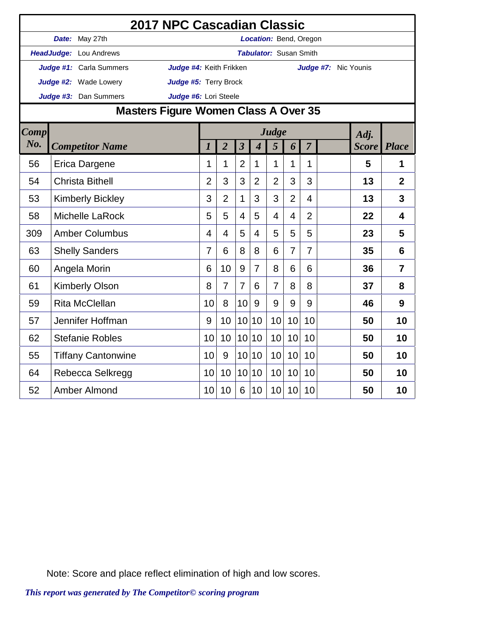|             |                           | 2017 NPC Cascadian Classic           |                  |                |                         |                             |                               |                |                |                      |              |                |
|-------------|---------------------------|--------------------------------------|------------------|----------------|-------------------------|-----------------------------|-------------------------------|----------------|----------------|----------------------|--------------|----------------|
|             | Date: May 27th            |                                      |                  |                |                         |                             | Location: Bend, Oregon        |                |                |                      |              |                |
|             | HeadJudge: Lou Andrews    |                                      |                  |                |                         |                             | <b>Tabulator: Susan Smith</b> |                |                |                      |              |                |
|             | Judge #1: Carla Summers   | Judge #4: Keith Frikken              |                  |                |                         |                             |                               |                |                | Judge #7: Nic Younis |              |                |
|             | Judge #2: Wade Lowery     | Judge #5: Terry Brock                |                  |                |                         |                             |                               |                |                |                      |              |                |
|             | Judge #3: Dan Summers     | Judge #6: Lori Steele                |                  |                |                         |                             |                               |                |                |                      |              |                |
|             |                           | Masters Figure Women Class A Over 35 |                  |                |                         |                             |                               |                |                |                      |              |                |
| <b>Comp</b> |                           |                                      |                  |                |                         |                             | Judge                         |                |                |                      | Adj.         |                |
| No.         | <b>Competitor Name</b>    |                                      | $\boldsymbol{l}$ | $\overline{2}$ | $\overline{\mathbf{3}}$ | $\overline{\boldsymbol{4}}$ | 5                             | 6              | $\overline{7}$ |                      | <b>Score</b> | <b>Place</b>   |
| 56          | Erica Dargene             |                                      | 1                | 1              | $\overline{2}$          | 1                           | 1                             | 1              | 1              |                      | 5            | 1              |
| 54          | <b>Christa Bithell</b>    |                                      | $\overline{2}$   | 3              | 3                       | $\overline{2}$              | $\overline{2}$                | 3              | 3              |                      | 13           | $\overline{2}$ |
| 53          | <b>Kimberly Bickley</b>   |                                      | 3                | $\overline{2}$ | $\mathbf{1}$            | 3                           | 3                             | $\overline{2}$ | $\overline{4}$ |                      | 13           | 3              |
| 58          | Michelle LaRock           |                                      | 5                | 5              | 4                       | 5                           | 4                             | 4              | $\overline{2}$ |                      | 22           | $\overline{4}$ |
| 309         | <b>Amber Columbus</b>     |                                      | 4                | 4              | 5                       | $\overline{4}$              | 5                             | 5              | 5              |                      | 23           | 5              |
| 63          | <b>Shelly Sanders</b>     |                                      | $\overline{7}$   | 6              | 8                       | 8                           | 6                             | $\overline{7}$ | $\overline{7}$ |                      | 35           | 6              |
| 60          | Angela Morin              |                                      | 6                | 10             | 9                       | $\overline{7}$              | 8                             | 6              | 6              |                      | 36           | $\overline{7}$ |
| 61          | <b>Kimberly Olson</b>     |                                      | 8                | $\overline{7}$ | $\overline{7}$          | 6                           | $\overline{7}$                | 8              | 8              |                      | 37           | 8              |
| 59          | <b>Rita McClellan</b>     |                                      | 10               | 8              | 10                      | 9                           | 9                             | 9              | 9              |                      | 46           | 9              |
| 57          | Jennifer Hoffman          |                                      | 9                | 10             | 10                      | 10                          | 10                            | 10             | 10             |                      | 50           | 10             |
| 62          | <b>Stefanie Robles</b>    |                                      | 10               | 10             | 10 <sup>1</sup>         | 10                          | 10                            | 10             | 10             |                      | 50           | 10             |
| 55          | <b>Tiffany Cantonwine</b> |                                      | 10               | 9              | 10                      | 10                          | 10                            | 10             | 10             |                      | 50           | 10             |
| 64          | Rebecca Selkregg          |                                      | 10               | 10             | 10                      | 10                          | 10                            | 10             | 10             |                      | 50           | 10             |
| 52          | <b>Amber Almond</b>       |                                      | 10               | 10             | 6                       | 10                          | 10                            | 10             | 10             |                      | 50           | 10             |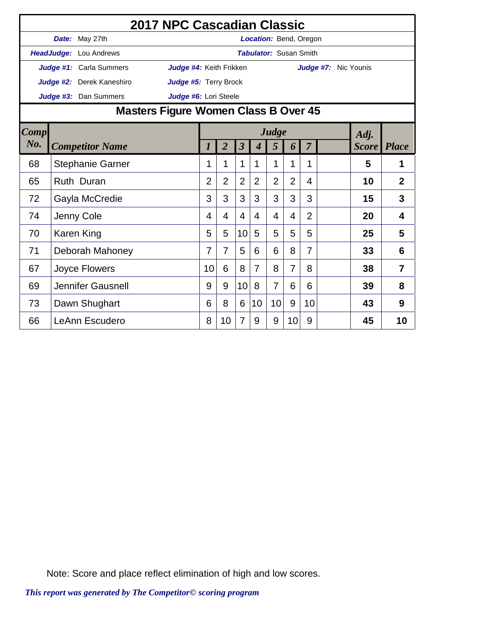|        | 2017 NPC Cascadian Classic           |                         |                |                |                         |                  |                               |                |                |                      |              |                |
|--------|--------------------------------------|-------------------------|----------------|----------------|-------------------------|------------------|-------------------------------|----------------|----------------|----------------------|--------------|----------------|
|        | Date: May 27th                       |                         |                |                |                         |                  | <b>Location: Bend, Oregon</b> |                |                |                      |              |                |
|        | HeadJudge: Lou Andrews               |                         |                |                |                         |                  | <b>Tabulator: Susan Smith</b> |                |                |                      |              |                |
|        | Judge #1: Carla Summers              | Judge #4: Keith Frikken |                |                |                         |                  |                               |                |                | Judge #7: Nic Younis |              |                |
|        | Judge #2: Derek Kaneshiro            | Judge #5: Terry Brock   |                |                |                         |                  |                               |                |                |                      |              |                |
|        | Judge #3: Dan Summers                | Judge #6: Lori Steele   |                |                |                         |                  |                               |                |                |                      |              |                |
|        | Masters Figure Women Class B Over 45 |                         |                |                |                         |                  |                               |                |                |                      |              |                |
| Comp   |                                      |                         |                |                |                         |                  | Judge                         |                |                |                      | Adj.         |                |
| $N0$ . | <b>Competitor Name</b>               |                         |                | $\overline{2}$ | $\overline{\mathbf{3}}$ | $\boldsymbol{4}$ | 5                             | 6              | $\overline{7}$ |                      | <b>Score</b> | <b>Place</b>   |
| 68     | <b>Stephanie Garner</b>              |                         | 1              | 1              | 1                       | 1                | 1                             | 1              | 1              |                      | 5            | 1              |
| 65     | Ruth Duran                           |                         | $\overline{2}$ | $\overline{2}$ | $\overline{2}$          | 2                | $\overline{2}$                | $\overline{2}$ | 4              |                      | 10           | $\overline{2}$ |
| 72     | Gayla McCredie                       |                         | 3              | 3              | 3                       | 3                | 3                             | 3              | 3              |                      | 15           | 3              |
| 74     | Jenny Cole                           |                         | 4              | 4              | $\overline{4}$          | 4                | 4                             | 4              | $\overline{2}$ |                      | 20           | 4              |
| 70     | Karen King                           |                         | 5              | 5              | 10                      | 5                | 5                             | 5              | 5              |                      | 25           | 5              |
| 71     | Deborah Mahoney                      |                         | 7              | 7              | 5                       | 6                | 6                             | 8              | $\overline{7}$ |                      | 33           | 6              |
| 67     | Joyce Flowers                        |                         | 10             | 6              | 8                       | $\overline{7}$   | 8                             | $\overline{7}$ | 8              |                      | 38           | $\overline{7}$ |
| 69     | <b>Jennifer Gausnell</b>             |                         | 9              | 9              | 10                      | 8                | $\overline{7}$                | 6              | 6              |                      | 39           | 8              |
| 73     | Dawn Shughart                        |                         | 6              | 8              | 6                       | 10               | 10                            | 9              | 10             |                      | 43           | 9              |
| 66     | <b>LeAnn Escudero</b>                |                         | 8              | 10             | $\overline{7}$          | 9                | 9                             | 10             | 9              |                      | 45           | 10             |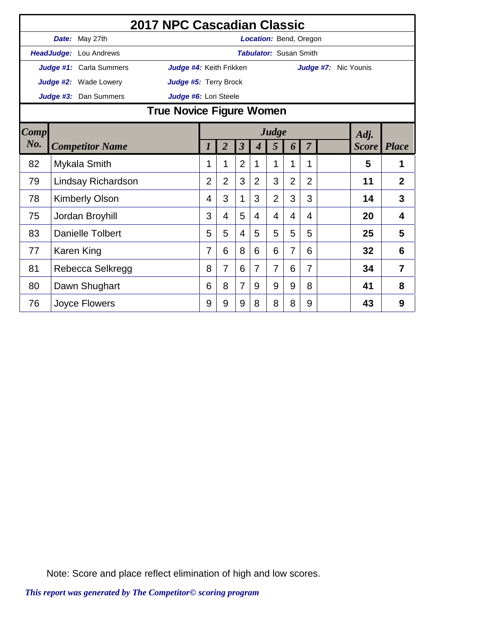|      |                         | 2017 NPC Cascadian Classic |                |                |                         |   |                               |                |                |                      |              |                |
|------|-------------------------|----------------------------|----------------|----------------|-------------------------|---|-------------------------------|----------------|----------------|----------------------|--------------|----------------|
|      | Date: May 27th          |                            |                |                |                         |   | <b>Location: Bend, Oregon</b> |                |                |                      |              |                |
|      | HeadJudge: Lou Andrews  |                            |                |                |                         |   | <b>Tabulator: Susan Smith</b> |                |                |                      |              |                |
|      | Judge #1: Carla Summers | Judge #4: Keith Frikken    |                |                |                         |   |                               |                |                | Judge #7: Nic Younis |              |                |
|      | Judge #2: Wade Lowery   | Judge #5: Terry Brock      |                |                |                         |   |                               |                |                |                      |              |                |
|      | Judge #3: Dan Summers   | Judge #6: Lori Steele      |                |                |                         |   |                               |                |                |                      |              |                |
|      |                         | True Novice Figure Women   |                |                |                         |   |                               |                |                |                      |              |                |
| Comp | Judge<br>Adj.           |                            |                |                |                         |   |                               |                |                |                      |              |                |
| No.  | <b>Competitor Name</b>  |                            |                | $\overline{2}$ | $\overline{\mathbf{3}}$ | 4 | 5                             | 6              | 7              |                      | <b>Score</b> | <b>Place</b>   |
| 82   | Mykala Smith            |                            | 1              | 1              | $\overline{2}$          | 1 | 1                             | 1              | 1              |                      | 5            | 1              |
| 79   | Lindsay Richardson      |                            | $\overline{2}$ | $\overline{2}$ | 3                       | 2 | 3                             | $\overline{2}$ | $\overline{2}$ |                      | 11           | $\overline{2}$ |
| 78   | <b>Kimberly Olson</b>   |                            | 4              | 3              | 1                       | 3 | $\overline{2}$                | 3              | 3              |                      | 14           | 3              |
| 75   | Jordan Broyhill         |                            | 3              | 4              | 5                       | 4 | 4                             | 4              | 4              |                      | 20           | 4              |
| 83   | <b>Danielle Tolbert</b> |                            | 5              | 5              | $\overline{4}$          | 5 | 5                             | 5              | 5              |                      | 25           | 5              |
| 77   | Karen King              |                            | 7              | 6              | 8                       | 6 | 6                             | 7              | 6              |                      | 32           | 6              |
| 81   | Rebecca Selkregg        |                            | 8              | 7              | 6                       | 7 | $\overline{7}$                | 6              | 7              |                      | 34           | 7              |
| 80   | Dawn Shughart           |                            | 6              | 8              | $\overline{7}$          | 9 | 9                             | 9              | 8              |                      | 41           | 8              |
| 76   | Joyce Flowers           |                            | 9              | 9              | 9                       | 8 | 8                             | 8              | 9              |                      | 43           | 9              |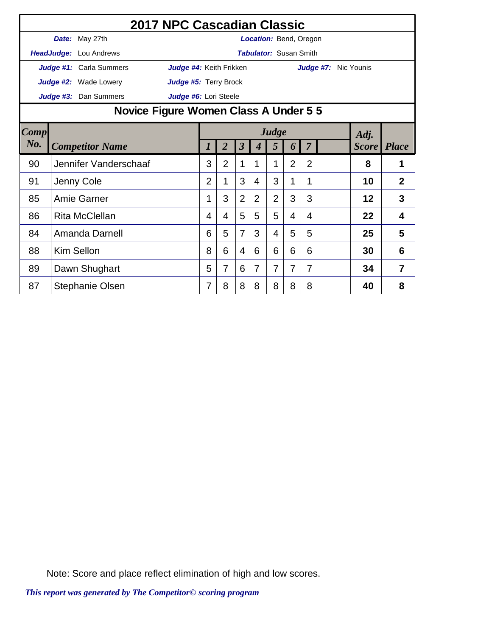|        | 2017 NPC Cascadian Classic    |                                       |                |                |                         |                |                |                               |                |                      |              |              |  |
|--------|-------------------------------|---------------------------------------|----------------|----------------|-------------------------|----------------|----------------|-------------------------------|----------------|----------------------|--------------|--------------|--|
|        | <b>Date:</b> May 27th         |                                       |                |                |                         |                |                | <b>Location: Bend, Oregon</b> |                |                      |              |              |  |
|        | <b>HeadJudge:</b> Lou Andrews |                                       |                |                |                         |                |                | <b>Tabulator: Susan Smith</b> |                |                      |              |              |  |
|        | Judge #1: Carla Summers       | Judge #4: Keith Frikken               |                |                |                         |                |                |                               |                | Judge #7: Nic Younis |              |              |  |
|        | <b>Judge #2:</b> Wade Lowery  | Judge #5: Terry Brock                 |                |                |                         |                |                |                               |                |                      |              |              |  |
|        | Judge #3: Dan Summers         | Judge #6: Lori Steele                 |                |                |                         |                |                |                               |                |                      |              |              |  |
|        |                               | Novice Figure Women Class A Under 5 5 |                |                |                         |                |                |                               |                |                      |              |              |  |
| Comp   |                               | Judge<br>Adj.                         |                |                |                         |                |                |                               |                |                      |              |              |  |
| $N0$ . | <b>Competitor Name</b>        |                                       |                | $\overline{2}$ | $\overline{\mathbf{3}}$ | 4              | 5              | 6                             | $\overline{7}$ |                      | <b>Score</b> | <b>Place</b> |  |
| 90     | Jennifer Vanderschaaf         |                                       | 3              | $\overline{2}$ | 1                       | 1              | 1              | $\overline{2}$                | $\overline{2}$ |                      | 8            | 1            |  |
| 91     | Jenny Cole                    |                                       | $\overline{2}$ | 1              | 3                       | 4              | 3              | 1                             | 1              |                      | 10           | 2            |  |
| 85     | <b>Amie Garner</b>            |                                       | 1              | 3              | 2                       | $\overline{2}$ | $\overline{2}$ | 3                             | 3              |                      | 12           | 3            |  |
| 86     | <b>Rita McClellan</b>         |                                       | 4              | 4              | 5                       | 5              | 5              | 4                             | 4              |                      | 22           | 4            |  |
| 84     | Amanda Darnell                |                                       | 6              | 5              | $\overline{7}$          | 3              | 4              | 5                             | 5              |                      | 25           | 5            |  |
| 88     | Kim Sellon                    |                                       | 8              | 6              | $\overline{4}$          | 6              | 6              | 6                             | 6              |                      | 30           | 6            |  |
| 89     | Dawn Shughart                 |                                       | 5              | 7              | 6                       | 7              | 7              | 7                             | 7              |                      | 34           | 7            |  |
| 87     | Stephanie Olsen               |                                       | 7              | 8              | 8                       | 8              | 8              | 8                             | 8              |                      | 40           | 8            |  |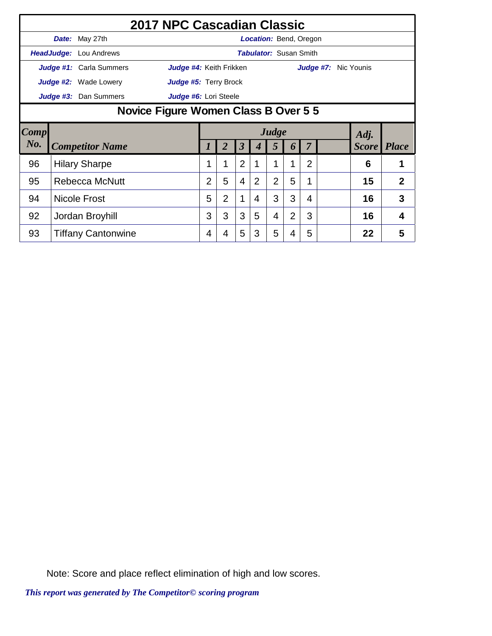|      | 2017 NPC Cascadian Classic   |                                      |                |                |                      |                               |                |                |                |  |  |                      |                |
|------|------------------------------|--------------------------------------|----------------|----------------|----------------------|-------------------------------|----------------|----------------|----------------|--|--|----------------------|----------------|
|      | Date: May 27th               |                                      |                |                |                      | Location: Bend, Oregon        |                |                |                |  |  |                      |                |
|      | HeadJudge: Lou Andrews       |                                      |                |                |                      | <b>Tabulator:</b> Susan Smith |                |                |                |  |  |                      |                |
|      | Judge #1: Carla Summers      | Judge #4: Keith Frikken              |                |                |                      |                               |                |                |                |  |  | Judge #7: Nic Younis |                |
|      | <b>Judge #2:</b> Wade Lowery | Judge #5: Terry Brock                |                |                |                      |                               |                |                |                |  |  |                      |                |
|      | Judge #3: Dan Summers        | Judge #6: Lori Steele                |                |                |                      |                               |                |                |                |  |  |                      |                |
|      |                              | Novice Figure Women Class B Over 5 5 |                |                |                      |                               |                |                |                |  |  |                      |                |
| Comp |                              | Judge<br>Adj.                        |                |                |                      |                               |                |                |                |  |  |                      |                |
| No.  | <b>Competitor Name</b>       |                                      |                |                | $\boldsymbol{\beta}$ |                               | 5              | 6              |                |  |  | <b>Score</b> Place   |                |
| 96   | <b>Hilary Sharpe</b>         |                                      |                |                | $\overline{2}$       |                               |                |                | $\overline{2}$ |  |  | 6                    |                |
| 95   | Rebecca McNutt               |                                      | $\overline{2}$ | 5              | $\overline{4}$       | 2                             | $\overline{2}$ | 5              |                |  |  | 15                   | $\overline{2}$ |
| 94   | <b>Nicole Frost</b>          |                                      | 5              | $\overline{2}$ | 1                    | 4                             | 3              | 3              | 4              |  |  | 16                   | 3              |
| 92   | Jordan Broyhill              |                                      | 3              | 3              | 3                    | 5                             | 4              | $\overline{2}$ | 3              |  |  | 16                   | 4              |
| 93   | <b>Tiffany Cantonwine</b>    |                                      | 4              | 4              | 5                    | 3                             | 5              | 4              | 5              |  |  | 22                   | 5              |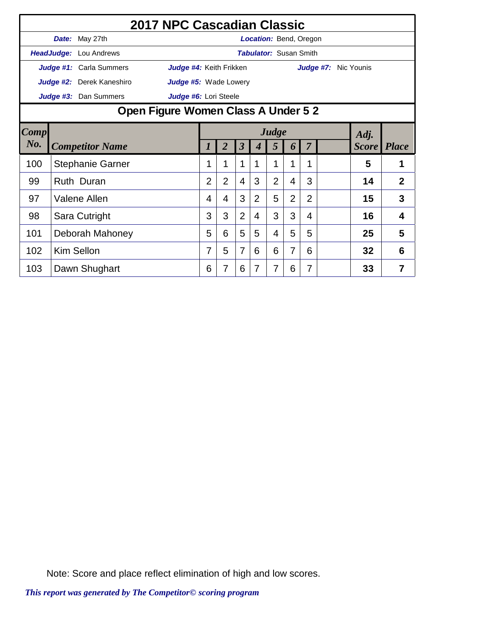|      | 2017 NPC Cascadian Classic |                                     |                |                         |                               |                |                |                |                      |    |                    |  |
|------|----------------------------|-------------------------------------|----------------|-------------------------|-------------------------------|----------------|----------------|----------------|----------------------|----|--------------------|--|
|      | Date: May 27th             |                                     |                |                         | Location: Bend, Oregon        |                |                |                |                      |    |                    |  |
|      | HeadJudge: Lou Andrews     |                                     |                |                         | <b>Tabulator: Susan Smith</b> |                |                |                |                      |    |                    |  |
|      | Judge #1: Carla Summers    | Judge #4: Keith Frikken             |                |                         |                               |                |                |                | Judge #7: Nic Younis |    |                    |  |
|      | Judge #2: Derek Kaneshiro  | Judge #5: Wade Lowery               |                |                         |                               |                |                |                |                      |    |                    |  |
|      | Judge #3: Dan Summers      | Judge #6: Lori Steele               |                |                         |                               |                |                |                |                      |    |                    |  |
|      |                            | Open Figure Women Class A Under 5 2 |                |                         |                               |                |                |                |                      |    |                    |  |
| Comp | Judge<br>Adj.              |                                     |                |                         |                               |                |                |                |                      |    |                    |  |
| No.  | <b>Competitor Name</b>     | 1                                   | $\overline{2}$ | $\overline{\mathbf{3}}$ | 4                             | 5              | 6              | $\overline{7}$ |                      |    | <b>Score</b> Place |  |
| 100  | <b>Stephanie Garner</b>    | 1                                   |                | 1                       | 1                             | 1              | 1              | 1              |                      | 5  | 1                  |  |
| 99   | Ruth Duran                 | $\overline{2}$                      | $\overline{2}$ | $\overline{4}$          | 3                             | $\overline{2}$ | 4              | 3              |                      | 14 | $\overline{2}$     |  |
| 97   | Valene Allen               | 4                                   | 4              | 3                       | 2                             | 5              | $\overline{2}$ | $\overline{2}$ |                      | 15 | 3                  |  |
| 98   | Sara Cutright              | 3                                   | 3              | $\overline{2}$          | $\overline{4}$                | 3              | 3              | 4              |                      | 16 | 4                  |  |
| 101  | Deborah Mahoney            | 5                                   | 6              | 5                       | 5                             | 4              | 5              | 5              |                      | 25 | 5                  |  |
| 102  | <b>Kim Sellon</b>          | 7                                   | 5              | $\overline{7}$          | 6                             | 6              | 7              | 6              |                      | 32 | 6                  |  |
| 103  | Dawn Shughart              | 6                                   |                | 6                       | 7                             | 7              | 6              |                |                      | 33 | 7                  |  |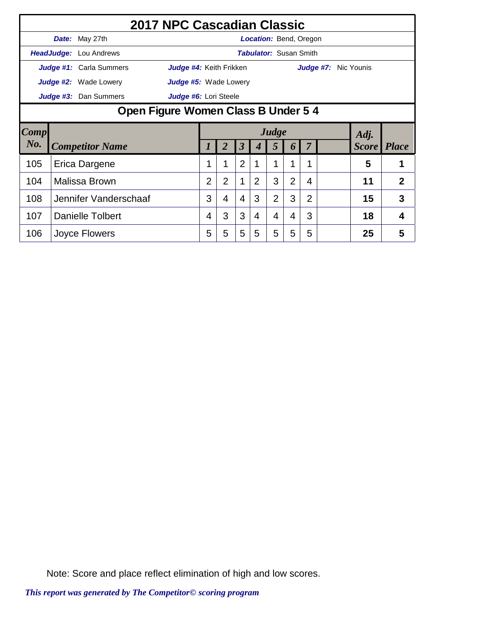|                        | 2017 NPC Cascadian Classic    |                                    |                |                |                      |                               |                |                |   |  |  |                      |                |
|------------------------|-------------------------------|------------------------------------|----------------|----------------|----------------------|-------------------------------|----------------|----------------|---|--|--|----------------------|----------------|
|                        | Date: May 27th                |                                    |                |                |                      | Location: Bend, Oregon        |                |                |   |  |  |                      |                |
|                        | <b>HeadJudge:</b> Lou Andrews |                                    |                |                |                      | <b>Tabulator: Susan Smith</b> |                |                |   |  |  |                      |                |
|                        | Judge #1: Carla Summers       | Judge #4: Keith Frikken            |                |                |                      |                               |                |                |   |  |  | Judge #7: Nic Younis |                |
|                        | <b>Judge #2:</b> Wade Lowery  | Judge #5: Wade Lowery              |                |                |                      |                               |                |                |   |  |  |                      |                |
|                        | Judge #3: Dan Summers         | Judge #6: Lori Steele              |                |                |                      |                               |                |                |   |  |  |                      |                |
|                        |                               | Open Figure Women Class B Under 54 |                |                |                      |                               |                |                |   |  |  |                      |                |
| $\lfloor Comp \rfloor$ |                               | Judge<br>Adj.                      |                |                |                      |                               |                |                |   |  |  |                      |                |
| No.                    | <b>Competitor Name</b>        |                                    |                | 2              | $\boldsymbol{\beta}$ | 4                             | 5              | 6              |   |  |  | <b>Score</b>         | <b>Place</b>   |
| 105                    | Erica Dargene                 |                                    |                |                | $\overline{2}$       |                               | 1              |                | 1 |  |  | 5                    |                |
| 104                    | Malissa Brown                 |                                    | $\overline{2}$ | $\overline{2}$ | 1                    | 2                             | 3              | $\overline{2}$ | 4 |  |  | 11                   | $\overline{2}$ |
| 108                    | Jennifer Vanderschaaf         |                                    | 3              | 4              | $\overline{4}$       | 3                             | $\overline{2}$ | 3              | 2 |  |  | 15                   | 3              |
| 107                    | Danielle Tolbert              |                                    | 4              | 3              | 3                    | 4                             | 4              | 4              | 3 |  |  | 18                   | 4              |
| 106                    | Joyce Flowers                 |                                    | 5              | 5              | 5                    | 5                             | 5              | 5              | 5 |  |  | 25                   | 5              |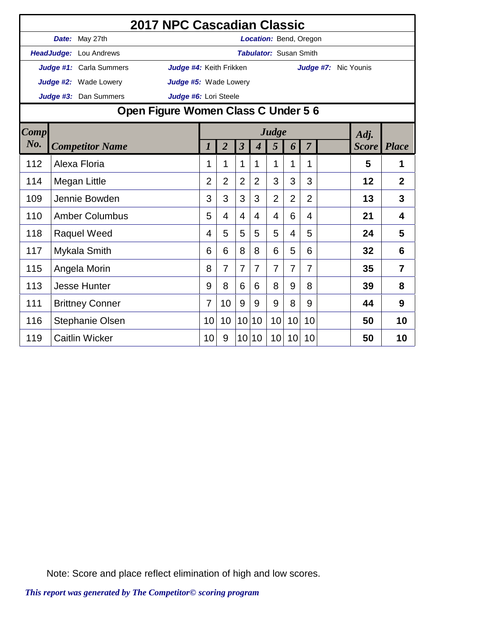|             | 2017 NPC Cascadian Classic          |                         |                  |                |                |                  |                               |                |                |                      |       |                |
|-------------|-------------------------------------|-------------------------|------------------|----------------|----------------|------------------|-------------------------------|----------------|----------------|----------------------|-------|----------------|
|             | Date: May 27th                      |                         |                  |                |                |                  | Location: Bend, Oregon        |                |                |                      |       |                |
|             | HeadJudge: Lou Andrews              |                         |                  |                |                |                  | <b>Tabulator: Susan Smith</b> |                |                |                      |       |                |
|             | Judge #1: Carla Summers             | Judge #4: Keith Frikken |                  |                |                |                  |                               |                |                | Judge #7: Nic Younis |       |                |
|             | Judge #2: Wade Lowery               | Judge #5: Wade Lowery   |                  |                |                |                  |                               |                |                |                      |       |                |
|             | Judge #3: Dan Summers               | Judge #6: Lori Steele   |                  |                |                |                  |                               |                |                |                      |       |                |
|             | Open Figure Women Class C Under 5 6 |                         |                  |                |                |                  |                               |                |                |                      |       |                |
| <b>Comp</b> |                                     |                         |                  |                |                |                  | Judge                         |                |                |                      | Adj.  |                |
| No.         | <b>Competitor Name</b>              |                         | $\boldsymbol{l}$ | $\overline{2}$ | $\overline{3}$ | $\boldsymbol{4}$ | 5                             | 6              | $\overline{7}$ |                      | Score | <b>Place</b>   |
| 112         | Alexa Floria                        |                         | 1                | 1              | 1              | 1                | 1                             | 1              | 1              |                      | 5     | 1              |
| 114         | Megan Little                        |                         | $\overline{2}$   | 2              | $\overline{2}$ | 2                | 3                             | 3              | 3              |                      | 12    | $\overline{2}$ |
| 109         | Jennie Bowden                       |                         | 3                | 3              | 3              | 3                | $\overline{2}$                | $\overline{2}$ | $\overline{2}$ |                      | 13    | 3              |
| 110         | <b>Amber Columbus</b>               |                         | 5                | 4              | 4              | 4                | 4                             | 6              | 4              |                      | 21    | 4              |
| 118         | <b>Raquel Weed</b>                  |                         | 4                | 5              | 5              | 5                | 5                             | 4              | 5              |                      | 24    | 5              |
| 117         | Mykala Smith                        |                         | 6                | 6              | 8              | 8                | 6                             | 5              | 6              |                      | 32    | 6              |
| 115         | Angela Morin                        |                         | 8                | 7              | $\overline{7}$ | $\overline{7}$   | $\overline{7}$                | $\overline{7}$ | $\overline{7}$ |                      | 35    | $\overline{7}$ |
| 113         | <b>Jesse Hunter</b>                 |                         | 9                | 8              | 6              | 6                | 8                             | 9              | 8              |                      | 39    | 8              |
| 111         | <b>Brittney Conner</b>              |                         | 7                | 10             | 9              | 9                | 9                             | 8              | 9              |                      | 44    | 9              |
| 116         | <b>Stephanie Olsen</b>              |                         | 10               | 10             | 10             | 10               | 10                            | 10             | 10             |                      | 50    | 10             |
| 119         | <b>Caitlin Wicker</b>               |                         | 10               | 9              | 10             | 10               | 10 <sup>1</sup>               | 10             | 10             |                      | 50    | 10             |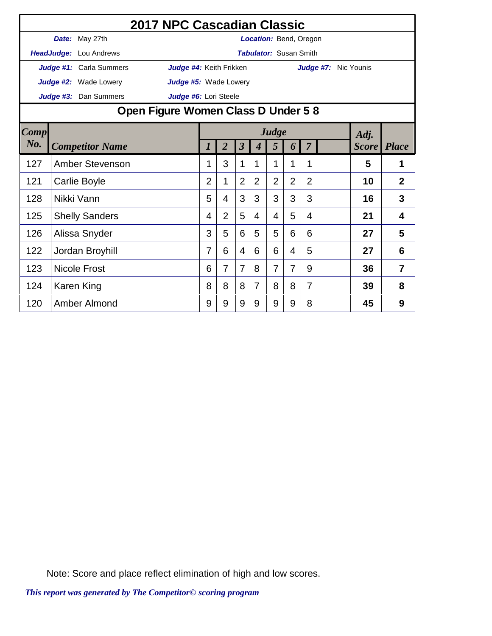|      |                               | 2017 NPC Cascadian Classic                                                                                                       |                |                |                |   |                               |                |                |                      |    |                |
|------|-------------------------------|----------------------------------------------------------------------------------------------------------------------------------|----------------|----------------|----------------|---|-------------------------------|----------------|----------------|----------------------|----|----------------|
|      | Date: May 27th                |                                                                                                                                  |                |                |                |   | <b>Location: Bend, Oregon</b> |                |                |                      |    |                |
|      | <b>HeadJudge:</b> Lou Andrews |                                                                                                                                  |                |                |                |   | <b>Tabulator: Susan Smith</b> |                |                |                      |    |                |
|      | Judge #1: Carla Summers       | Judge #4: Keith Frikken                                                                                                          |                |                |                |   |                               |                |                | Judge #7: Nic Younis |    |                |
|      | <b>Judge #2:</b> Wade Lowery  | Judge #5: Wade Lowery                                                                                                            |                |                |                |   |                               |                |                |                      |    |                |
|      | Judge #3: Dan Summers         | Judge #6: Lori Steele                                                                                                            |                |                |                |   |                               |                |                |                      |    |                |
|      |                               | Open Figure Women Class D Under 58                                                                                               |                |                |                |   |                               |                |                |                      |    |                |
| Comp |                               | Judge<br>Adj.<br>$\overline{2}$<br>$\overline{\mathbf{3}}$<br>$\overline{7}$<br><b>Place</b><br>5<br><b>Score</b><br>1<br>4<br>6 |                |                |                |   |                               |                |                |                      |    |                |
| No.  | <b>Competitor Name</b>        |                                                                                                                                  |                |                |                |   |                               |                |                |                      |    |                |
| 127  | <b>Amber Stevenson</b>        |                                                                                                                                  | 1              | 3              | 1              | 1 | 1                             | 1              | 1              |                      | 5  | 1              |
| 121  | Carlie Boyle                  |                                                                                                                                  | $\overline{2}$ | 1              | $\overline{2}$ | 2 | $\overline{2}$                | $\overline{2}$ | $\overline{2}$ |                      | 10 | $\overline{2}$ |
| 128  | Nikki Vann                    |                                                                                                                                  | 5              | 4              | 3              | 3 | 3                             | 3              | 3              |                      | 16 | 3              |
| 125  | <b>Shelly Sanders</b>         |                                                                                                                                  | 4              | $\overline{2}$ | 5              | 4 | 4                             | 5              | 4              |                      | 21 | 4              |
| 126  | Alissa Snyder                 |                                                                                                                                  | 3              | 5              | 6              | 5 | 5                             | 6              | 6              |                      | 27 | 5              |
| 122  | Jordan Broyhill               |                                                                                                                                  | 7              | 6              | 4              | 6 | 6                             | 4              | 5              |                      | 27 | 6              |
| 123  | <b>Nicole Frost</b>           |                                                                                                                                  | 6              | $\overline{7}$ | $\overline{7}$ | 8 | $\overline{7}$                | 7              | 9              |                      | 36 | $\overline{7}$ |
| 124  | Karen King                    |                                                                                                                                  | 8              | 8              | 8              | 7 | 8                             | 8              | $\overline{7}$ |                      | 39 | 8              |
| 120  | Amber Almond                  |                                                                                                                                  | 9              | 9              | 9              | 9 | 9                             | 9              | 8              |                      | 45 | 9              |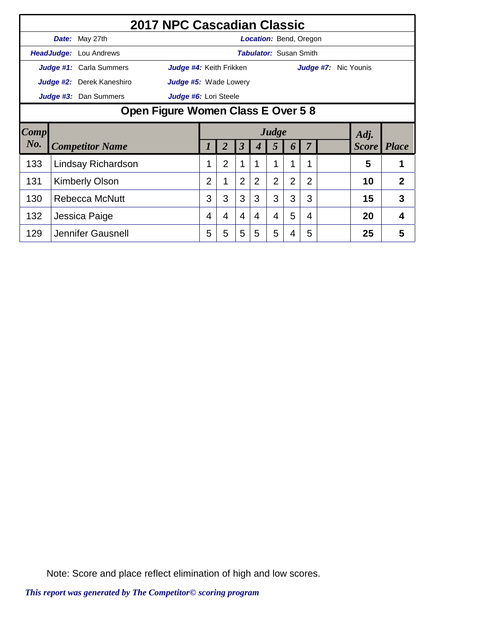|        |                                                | 2017 NPC Cascadian Classic    |                                   |                |                |                |   |                               |                  |                |  |                             |                |
|--------|------------------------------------------------|-------------------------------|-----------------------------------|----------------|----------------|----------------|---|-------------------------------|------------------|----------------|--|-----------------------------|----------------|
|        |                                                | Date: May 27th                |                                   |                |                |                |   | Location: Bend, Oregon        |                  |                |  |                             |                |
|        |                                                | <b>HeadJudge:</b> Lou Andrews |                                   |                |                |                |   | <b>Tabulator:</b> Susan Smith |                  |                |  |                             |                |
|        |                                                | Judge #1: Carla Summers       | Judge #4: Keith Frikken           |                |                |                |   |                               |                  |                |  | <b>Judge #7:</b> Nic Younis |                |
|        |                                                | Judge #2: Derek Kaneshiro     | <b>Judge #5:</b> Wade Lowery      |                |                |                |   |                               |                  |                |  |                             |                |
|        |                                                | Judge #3: Dan Summers         | Judge #6: Lori Steele             |                |                |                |   |                               |                  |                |  |                             |                |
|        |                                                |                               | Open Figure Women Class E Over 58 |                |                |                |   |                               |                  |                |  |                             |                |
| Comp   |                                                |                               | Judge<br>Adj.                     |                |                |                |   |                               |                  |                |  |                             |                |
| $N0$ . |                                                | <b>Competitor Name</b>        |                                   |                |                | 3              |   | 5                             | $\boldsymbol{b}$ |                |  | <i>Score</i>                | <b>Place</b>   |
| 133    |                                                | Lindsay Richardson            |                                   |                | $\overline{2}$ | 1              |   | 1                             |                  |                |  | 5                           |                |
| 131    |                                                |                               |                                   | $\overline{2}$ |                | $\overline{2}$ | 2 | $\overline{2}$                | $\overline{2}$   | $\overline{2}$ |  | 10                          | $\overline{2}$ |
| 130    | <b>Kimberly Olson</b><br><b>Rebecca McNutt</b> |                               |                                   |                | 3              | 3              | 3 | 3                             | 3                | 3              |  | 15                          | 3              |
| 132    |                                                | Jessica Paige                 |                                   | 4              | 4              | $\overline{4}$ | 4 | 4                             | 5                | 4              |  | 20                          | 4              |
| 129    |                                                | Jennifer Gausnell             |                                   | 5              | 5              | 5              | 5 | 5                             | 4                | 5              |  | 25                          | 5              |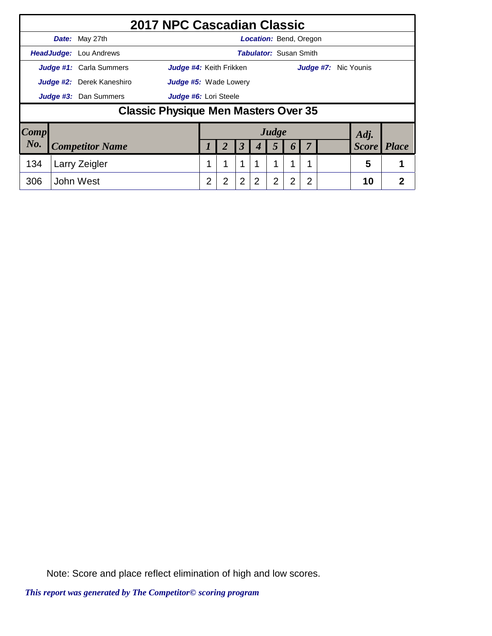|                 |                                  | 2017 NPC Cascadian Classic                  |                |   |                |                               |                |                  |                |                      |              |                |
|-----------------|----------------------------------|---------------------------------------------|----------------|---|----------------|-------------------------------|----------------|------------------|----------------|----------------------|--------------|----------------|
|                 | Date: May 27th                   |                                             |                |   |                | <b>Location: Bend, Oregon</b> |                |                  |                |                      |              |                |
|                 | <b>HeadJudge:</b> Lou Andrews    |                                             |                |   |                | <b>Tabulator: Susan Smith</b> |                |                  |                |                      |              |                |
|                 | <b>Judge #1:</b> Carla Summers   | Judge #4: Keith Frikken                     |                |   |                |                               |                |                  |                | Judge #7: Nic Younis |              |                |
|                 | <b>Judge #2:</b> Derek Kaneshiro | <b>Judge #5:</b> Wade Lowery                |                |   |                |                               |                |                  |                |                      |              |                |
|                 | Judge #3: Dan Summers            | Judge #6: Lori Steele                       |                |   |                |                               |                |                  |                |                      |              |                |
|                 |                                  | <b>Classic Physique Men Masters Over 35</b> |                |   |                |                               |                |                  |                |                      |              |                |
| $\textit{Comp}$ |                                  |                                             |                |   |                |                               | Judge          |                  |                |                      | Adj.         |                |
| No.             | <b>Competitor Name</b>           |                                             |                | 2 | 3              |                               | 5              | $\boldsymbol{0}$ |                |                      | <b>Score</b> | <b>Place</b>   |
| 134             | Larry Zeigler                    |                                             |                | 1 | 1              |                               | и              | 1                | 1              |                      | 5            |                |
| 306             | John West                        |                                             | $\overline{2}$ | 2 | $\overline{2}$ | 2                             | $\overline{2}$ | 2                | $\overline{2}$ |                      | 10           | $\overline{2}$ |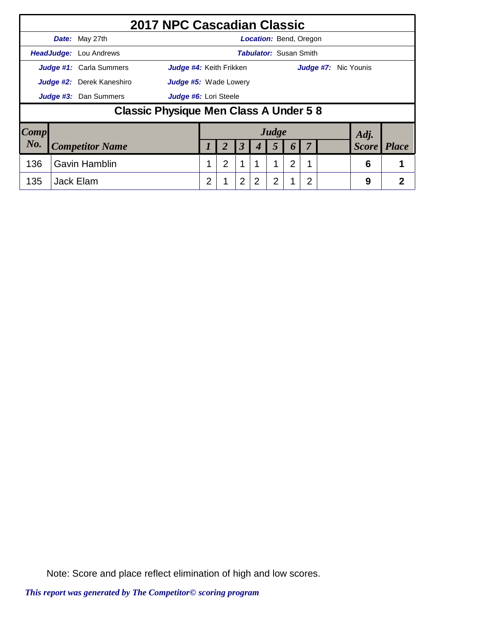|                        |                      | 2017 NPC Cascadian Classic             |                              |   |             |                      |                               |       |                  |    |                      |              |              |
|------------------------|----------------------|----------------------------------------|------------------------------|---|-------------|----------------------|-------------------------------|-------|------------------|----|----------------------|--------------|--------------|
|                        |                      | Date: May 27th                         |                              |   |             |                      | <b>Location: Bend, Oregon</b> |       |                  |    |                      |              |              |
|                        |                      | <b>HeadJudge:</b> Lou Andrews          |                              |   |             |                      | <b>Tabulator: Susan Smith</b> |       |                  |    |                      |              |              |
|                        |                      | <b>Judge #1:</b> Carla Summers         | Judge #4: Keith Frikken      |   |             |                      |                               |       |                  |    | Judge #7: Nic Younis |              |              |
|                        |                      | <b>Judge #2:</b> Derek Kaneshiro       | <b>Judge #5:</b> Wade Lowery |   |             |                      |                               |       |                  |    |                      |              |              |
|                        |                      | Judge #3: Dan Summers                  | Judge #6: Lori Steele        |   |             |                      |                               |       |                  |    |                      |              |              |
|                        |                      | Classic Physique Men Class A Under 5 8 |                              |   |             |                      |                               |       |                  |    |                      |              |              |
| $\lfloor Comp \rfloor$ |                      |                                        |                              |   |             |                      |                               | Judge |                  |    |                      | Adj.         |              |
| No.                    |                      | <b>Competitor Name</b>                 |                              |   | 2           | $\boldsymbol{\beta}$ |                               | 5     | $\boldsymbol{0}$ | -7 |                      | <b>Score</b> | <b>Place</b> |
| 136                    | <b>Gavin Hamblin</b> |                                        | 1                            | 2 | $\mathbf 1$ |                      |                               | 2     | 1                |    | 6                    | 1            |              |
| 135                    |                      | Jack Elam                              |                              | 2 |             | $\overline{2}$       | 2                             | 2     |                  | 2  |                      | 9            | 2            |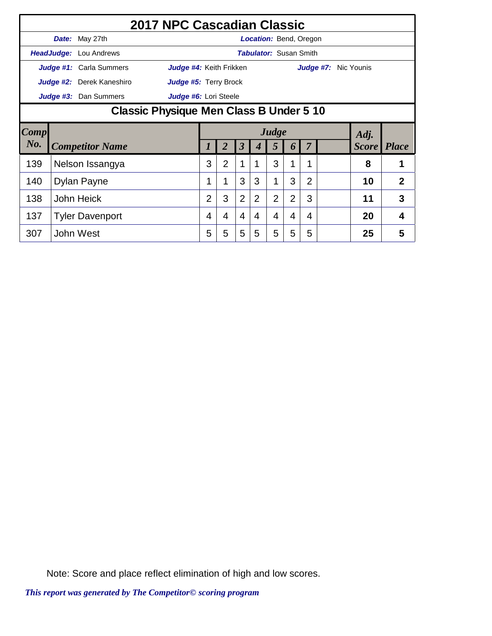|        | 2017 NPC Cascadian Classic     |                                         |                |                |                      |                               |                |                  |                |  |                      |                |
|--------|--------------------------------|-----------------------------------------|----------------|----------------|----------------------|-------------------------------|----------------|------------------|----------------|--|----------------------|----------------|
|        | Date: May 27th                 |                                         |                |                |                      | Location: Bend, Oregon        |                |                  |                |  |                      |                |
|        | <b>HeadJudge:</b> Lou Andrews  |                                         |                |                |                      | <b>Tabulator:</b> Susan Smith |                |                  |                |  |                      |                |
|        | <b>Judge #1:</b> Carla Summers | Judge #4: Keith Frikken                 |                |                |                      |                               |                |                  |                |  | Judge #7: Nic Younis |                |
|        | Judge #2: Derek Kaneshiro      | Judge #5: Terry Brock                   |                |                |                      |                               |                |                  |                |  |                      |                |
|        | Judge #3: Dan Summers          | Judge #6: Lori Steele                   |                |                |                      |                               |                |                  |                |  |                      |                |
|        |                                | Classic Physique Men Class B Under 5 10 |                |                |                      |                               |                |                  |                |  |                      |                |
| Comp   |                                | Judge<br>Adj.                           |                |                |                      |                               |                |                  |                |  |                      |                |
| $N0$ . | <b>Competitor Name</b>         |                                         |                |                | $\boldsymbol{\beta}$ |                               | 5              | $\boldsymbol{0}$ |                |  | <b>Score</b> Place   |                |
| 139    | Nelson Issangya                |                                         | 3              | $\overline{2}$ |                      |                               | 3              | 1                | 1              |  | 8                    |                |
| 140    | Dylan Payne                    |                                         | 1              |                | 3                    | 3                             | 1              | 3                | $\overline{2}$ |  | 10                   | $\overline{2}$ |
| 138    | <b>John Heick</b>              |                                         | $\overline{2}$ | 3              | $\overline{2}$       | $\overline{2}$                | $\overline{2}$ | $\overline{2}$   | 3              |  | 11                   | 3              |
| 137    | <b>Tyler Davenport</b>         |                                         | 4              | 4              | 4                    | 4                             | 4              | 4                | 4              |  | 20                   | 4              |
| 307    | John West                      |                                         | 5              | 5              | 5                    | 5                             | 5              | 5                | 5              |  | 25                   | 5              |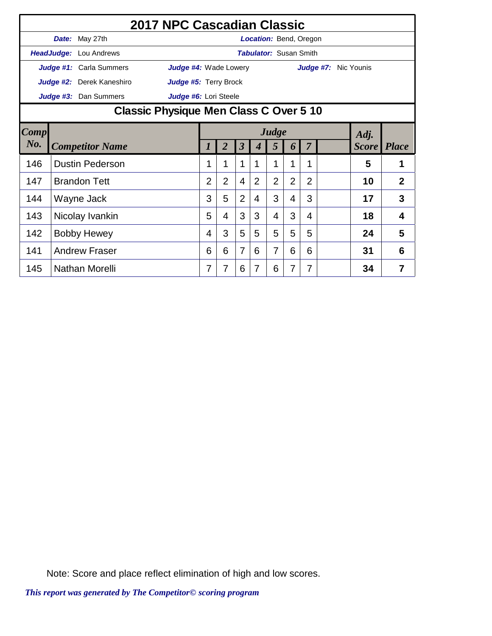|        | 2017 NPC Cascadian Classic             |                              |                |                |                         |                  |                               |                |                |                      |              |                |
|--------|----------------------------------------|------------------------------|----------------|----------------|-------------------------|------------------|-------------------------------|----------------|----------------|----------------------|--------------|----------------|
|        | Date: May 27th                         |                              |                |                |                         |                  | Location: Bend, Oregon        |                |                |                      |              |                |
|        | HeadJudge: Lou Andrews                 |                              |                |                |                         |                  | <b>Tabulator: Susan Smith</b> |                |                |                      |              |                |
|        | Judge #1: Carla Summers                | <b>Judge #4: Wade Lowery</b> |                |                |                         |                  |                               |                |                | Judge #7: Nic Younis |              |                |
|        | Judge #2: Derek Kaneshiro              | Judge #5: Terry Brock        |                |                |                         |                  |                               |                |                |                      |              |                |
|        | Judge #3: Dan Summers                  | Judge #6: Lori Steele        |                |                |                         |                  |                               |                |                |                      |              |                |
|        | Classic Physique Men Class C Over 5 10 |                              |                |                |                         |                  |                               |                |                |                      |              |                |
| Comp   | Judge<br>Adj.                          |                              |                |                |                         |                  |                               |                |                |                      |              |                |
| $N0$ . | <b>Competitor Name</b>                 |                              | 1              | $\overline{2}$ | $\overline{\mathbf{3}}$ | $\boldsymbol{4}$ | 5                             | 6              | $\overline{7}$ |                      | <b>Score</b> | <b>Place</b>   |
| 146    | <b>Dustin Pederson</b>                 |                              | 1              |                | 1                       | 1                | 1                             | 1              | 1              |                      | 5            |                |
| 147    | <b>Brandon Tett</b>                    |                              | $\overline{2}$ | $\overline{2}$ | 4                       | $\overline{2}$   | $\overline{2}$                | $\overline{2}$ | $\overline{2}$ |                      | 10           | $\overline{2}$ |
| 144    | Wayne Jack                             |                              | 3              | 5              | $\overline{2}$          | 4                | 3                             | 4              | 3              |                      | 17           | 3              |
| 143    | Nicolay Ivankin                        |                              | 5              | 4              | 3                       | 3                | 4                             | 3              | 4              |                      | 18           | $\overline{4}$ |
| 142    | <b>Bobby Hewey</b>                     |                              | 4              | 3              | 5                       | 5                | 5                             | 5              | 5              |                      | 24           | 5              |
| 141    | <b>Andrew Fraser</b>                   |                              | 6              | 6              | 7                       | 6                | 7                             | 6              | 6              |                      | 31           | 6              |
| 145    | Nathan Morelli                         |                              | 7              | 7              | 6                       | 7                | 6                             | 7              | 7              |                      | 34           | $\overline{7}$ |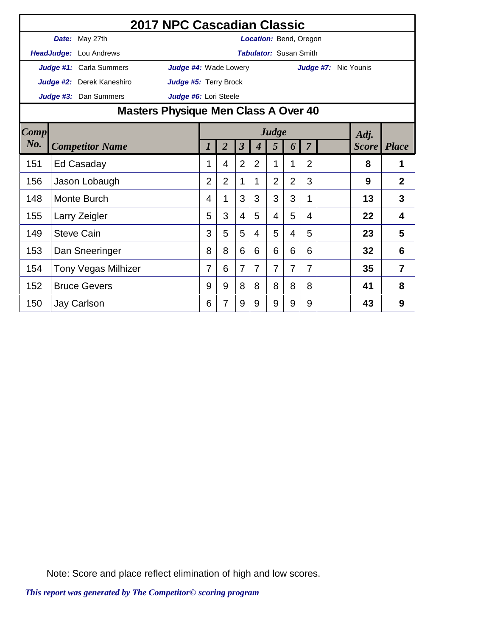|             |                               | 2017 NPC Cascadian Classic           |                |                |                      |                |                               |                |                |                      |              |                |
|-------------|-------------------------------|--------------------------------------|----------------|----------------|----------------------|----------------|-------------------------------|----------------|----------------|----------------------|--------------|----------------|
|             | Date: May 27th                |                                      |                |                |                      |                | <b>Location:</b> Bend, Oregon |                |                |                      |              |                |
|             | <b>HeadJudge:</b> Lou Andrews |                                      |                |                |                      |                | <b>Tabulator: Susan Smith</b> |                |                |                      |              |                |
|             | Judge #1: Carla Summers       | <b>Judge #4: Wade Lowery</b>         |                |                |                      |                |                               |                |                | Judge #7: Nic Younis |              |                |
|             | Judge #2: Derek Kaneshiro     | Judge #5: Terry Brock                |                |                |                      |                |                               |                |                |                      |              |                |
|             | Judge #3: Dan Summers         | Judge #6: Lori Steele                |                |                |                      |                |                               |                |                |                      |              |                |
|             |                               | Masters Physique Men Class A Over 40 |                |                |                      |                |                               |                |                |                      |              |                |
| <b>Comp</b> |                               |                                      |                |                |                      |                | Judge                         |                |                |                      | Adj.         |                |
| No.         | <b>Competitor Name</b>        |                                      |                | $\overline{2}$ | $\boldsymbol{\beta}$ | 4              | 5                             | 6              | $\overline{7}$ |                      | <b>Score</b> | <b>Place</b>   |
| 151         | Ed Casaday                    |                                      | 1              | 4              | $\overline{2}$       | 2              | 1                             | 1              | $\overline{2}$ |                      | 8            | 1              |
| 156         | Jason Lobaugh                 |                                      | $\overline{2}$ | $\overline{2}$ | 1                    | 1              | $\overline{2}$                | $\overline{2}$ | 3              |                      | 9            | $\overline{2}$ |
| 148         | Monte Burch                   |                                      | 4              | 1              | 3                    | 3              | 3                             | 3              | 1              |                      | 13           | 3              |
| 155         | Larry Zeigler                 |                                      | 5              | 3              | $\overline{4}$       | 5              | 4                             | 5              | 4              |                      | 22           | 4              |
| 149         | <b>Steve Cain</b>             |                                      | 3              | 5              | 5                    | 4              | 5                             | 4              | 5              |                      | 23           | 5              |
| 153         | Dan Sneeringer                |                                      | 8              | 8              | 6                    | 6              | 6                             | 6              | 6              |                      | 32           | 6              |
| 154         | <b>Tony Vegas Milhizer</b>    |                                      | 7              | 6              | $\overline{7}$       | $\overline{7}$ | 7                             | $\overline{7}$ | 7              |                      | 35           | 7              |
| 152         | <b>Bruce Gevers</b>           |                                      | 9              | 9              | 8                    | 8              | 8                             | 8              | 8              |                      | 41           | 8              |
| 150         | Jay Carlson                   |                                      | 6              | 7              | 9                    | 9              | 9                             | 9              | 9              |                      | 43           | 9              |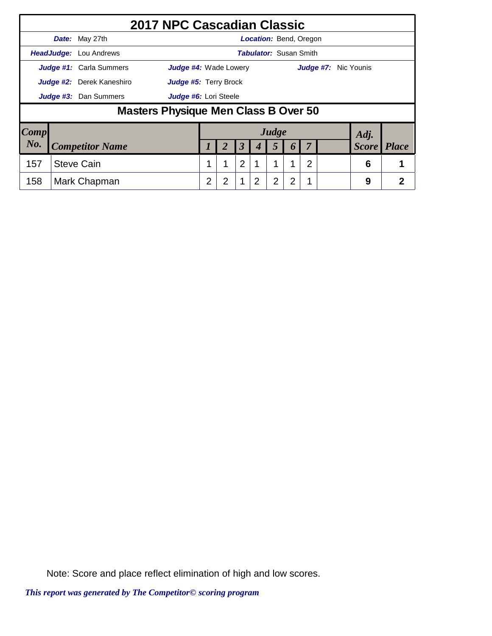|                        | 2017 NPC Cascadian Classic           |                              |   |                |                               |                |                       |                |                      |              |              |
|------------------------|--------------------------------------|------------------------------|---|----------------|-------------------------------|----------------|-----------------------|----------------|----------------------|--------------|--------------|
|                        | Date: May 27th                       |                              |   |                | <b>Location: Bend, Oregon</b> |                |                       |                |                      |              |              |
|                        | <b>HeadJudge:</b> Lou Andrews        |                              |   |                | <b>Tabulator: Susan Smith</b> |                |                       |                |                      |              |              |
|                        | Judge #1: Carla Summers              | <b>Judge #4:</b> Wade Lowery |   |                |                               |                |                       |                | Judge #7: Nic Younis |              |              |
|                        | <b>Judge #2:</b> Derek Kaneshiro     | <b>Judge #5: Terry Brock</b> |   |                |                               |                |                       |                |                      |              |              |
|                        | Judge #3: Dan Summers                | Judge #6: Lori Steele        |   |                |                               |                |                       |                |                      |              |              |
|                        | Masters Physique Men Class B Over 50 |                              |   |                |                               |                |                       |                |                      |              |              |
| $\lfloor Comp \rfloor$ |                                      |                              |   |                |                               | Judge          |                       |                |                      | Adj.         |              |
| No.                    | <b>Competitor Name</b>               |                              | 2 | 3              | 4                             | 5              | $\boldsymbol{\theta}$ |                |                      | <b>Score</b> | <b>Place</b> |
| 157                    | <b>Steve Cain</b>                    | 1                            | 1 | $\overline{2}$ |                               |                |                       | $\overline{2}$ |                      | 6            |              |
| 158                    | Mark Chapman                         | $\overline{2}$               | 2 | 1              | 2                             | $\overline{2}$ | 2                     |                |                      | 9            | 2            |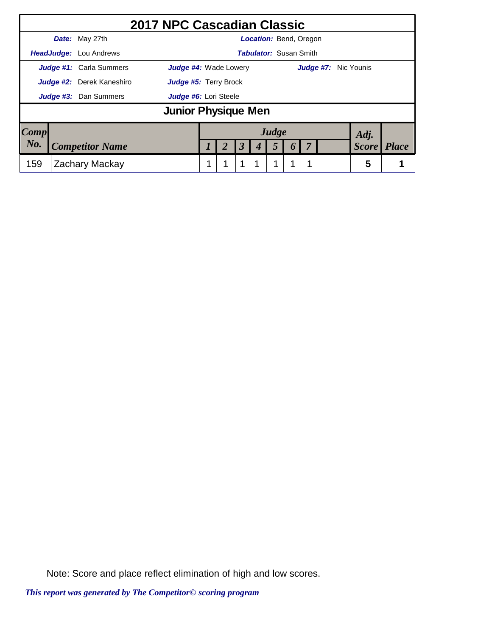|      | 2017 NPC Cascadian Classic     |                              |  |   |                               |       |                  |                      |              |              |
|------|--------------------------------|------------------------------|--|---|-------------------------------|-------|------------------|----------------------|--------------|--------------|
|      | Date: May 27th                 |                              |  |   | <b>Location: Bend, Oregon</b> |       |                  |                      |              |              |
|      | <b>HeadJudge:</b> Lou Andrews  |                              |  |   | <b>Tabulator:</b> Susan Smith |       |                  |                      |              |              |
|      | <b>Judge #1:</b> Carla Summers | <b>Judge #4:</b> Wade Lowery |  |   |                               |       |                  | Judge #7: Nic Younis |              |              |
|      | Judge #2: Derek Kaneshiro      | Judge #5: Terry Brock        |  |   |                               |       |                  |                      |              |              |
|      | <b>Judge #3:</b> Dan Summers   | Judge #6: Lori Steele        |  |   |                               |       |                  |                      |              |              |
|      |                                | Junior Physique Men          |  |   |                               |       |                  |                      |              |              |
| Comp |                                |                              |  |   |                               | Judge |                  |                      | Adj.         |              |
| No.  | <b>Competitor Name</b>         |                              |  | 3 |                               | 5     | $\boldsymbol{0}$ |                      | <b>Score</b> | <b>Place</b> |
| 159  | Zachary Mackay                 |                              |  |   |                               |       |                  |                      | 5            |              |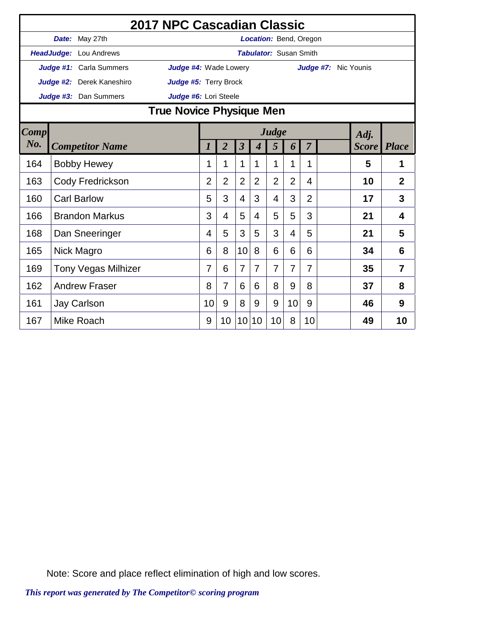|             |                            | 2017 NPC Cascadian Classic   |                |                |                         |                  |                               |                |                |                      |              |                |
|-------------|----------------------------|------------------------------|----------------|----------------|-------------------------|------------------|-------------------------------|----------------|----------------|----------------------|--------------|----------------|
|             | Date: May 27th             |                              |                |                |                         |                  | <b>Location: Bend, Oregon</b> |                |                |                      |              |                |
|             | HeadJudge: Lou Andrews     |                              |                |                |                         |                  | <b>Tabulator: Susan Smith</b> |                |                |                      |              |                |
|             | Judge #1: Carla Summers    | <b>Judge #4: Wade Lowery</b> |                |                |                         |                  |                               |                |                | Judge #7: Nic Younis |              |                |
|             | Judge #2: Derek Kaneshiro  | Judge #5: Terry Brock        |                |                |                         |                  |                               |                |                |                      |              |                |
|             | Judge #3: Dan Summers      | Judge #6: Lori Steele        |                |                |                         |                  |                               |                |                |                      |              |                |
|             |                            | True Novice Physique Men     |                |                |                         |                  |                               |                |                |                      |              |                |
| <b>Comp</b> |                            |                              |                |                |                         |                  | Judge                         |                |                |                      | Adj.         |                |
| $N0$ .      | <b>Competitor Name</b>     |                              | 1              | $\overline{2}$ | $\overline{\mathbf{3}}$ | $\boldsymbol{4}$ | 5                             | 6              | $\overline{7}$ |                      | <b>Score</b> | <b>Place</b>   |
| 164         | <b>Bobby Hewey</b>         |                              | 1              | 1              | 1                       | 1                | 1                             | 1              | 1              |                      | 5            | 1              |
| 163         | Cody Fredrickson           |                              | $\overline{2}$ | $\overline{2}$ | 2                       | $\overline{2}$   | $\overline{2}$                | $\overline{2}$ | 4              |                      | 10           | $\overline{2}$ |
| 160         | <b>Carl Barlow</b>         |                              | 5              | 3              | $\overline{4}$          | 3                | 4                             | 3              | $\overline{2}$ |                      | 17           | 3              |
| 166         | <b>Brandon Markus</b>      |                              | 3              | 4              | 5                       | 4                | 5                             | 5              | 3              |                      | 21           | 4              |
| 168         | Dan Sneeringer             |                              | 4              | 5              | 3                       | 5                | 3                             | 4              | 5              |                      | 21           | 5              |
| 165         | Nick Magro                 |                              | 6              | 8              | 10                      | 8                | 6                             | 6              | 6              |                      | 34           | 6              |
| 169         | <b>Tony Vegas Milhizer</b> |                              | 7              | 6              | $\overline{7}$          | 7                | $\overline{7}$                | 7              | 7              |                      | 35           | 7              |
| 162         | <b>Andrew Fraser</b>       |                              | 8              | $\overline{7}$ | 6                       | 6                | 8                             | 9              | 8              |                      | 37           | 8              |
| 161         | Jay Carlson                |                              | 10             | 9              | 8                       | 9                | 9                             | 10             | 9              |                      | 46           | 9              |
| 167         | Mike Roach                 |                              | 9              | 10             | 10                      | 10               | 10                            | 8              | 10             |                      | 49           | 10             |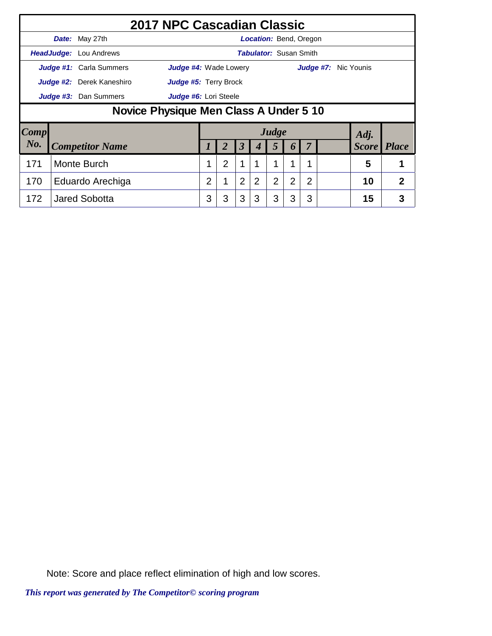|      |                                        | 2017 NPC Cascadian Classic     |                              |   |                |                      |   |                               |                       |                |  |                             |   |
|------|----------------------------------------|--------------------------------|------------------------------|---|----------------|----------------------|---|-------------------------------|-----------------------|----------------|--|-----------------------------|---|
|      |                                        | <b>Date:</b> May 27th          |                              |   |                |                      |   | <b>Location:</b> Bend, Oregon |                       |                |  |                             |   |
|      |                                        | HeadJudge: Lou Andrews         |                              |   |                |                      |   | <b>Tabulator:</b> Susan Smith |                       |                |  |                             |   |
|      |                                        | <b>Judge #1:</b> Carla Summers | <b>Judge #4: Wade Lowery</b> |   |                |                      |   |                               |                       |                |  | <b>Judge #7:</b> Nic Younis |   |
|      |                                        | Judge #2: Derek Kaneshiro      | Judge #5: Terry Brock        |   |                |                      |   |                               |                       |                |  |                             |   |
|      |                                        | Judge #3: Dan Summers          | Judge #6: Lori Steele        |   |                |                      |   |                               |                       |                |  |                             |   |
|      | Novice Physique Men Class A Under 5 10 |                                |                              |   |                |                      |   |                               |                       |                |  |                             |   |
| Comp |                                        |                                |                              |   |                |                      |   | Judge                         |                       |                |  | Adj.                        |   |
| No.  |                                        | <b>Competitor Name</b>         |                              |   |                | $\boldsymbol{\beta}$ |   | 5                             | $\boldsymbol{\theta}$ |                |  | <b>Score</b> Place          |   |
| 171  | Monte Burch                            |                                |                              |   | $\overline{2}$ | 1                    | 1 |                               | 1                     | 1              |  | 5                           |   |
| 170  | Eduardo Arechiga                       |                                |                              |   |                | $\overline{2}$       | 2 | $\overline{2}$                | $\overline{2}$        | $\overline{2}$ |  | 10                          | 2 |
| 172  |                                        | <b>Jared Sobotta</b>           |                              | 3 | 3              | 3                    | 3 | 3                             | 3                     | 3              |  | 15                          | 3 |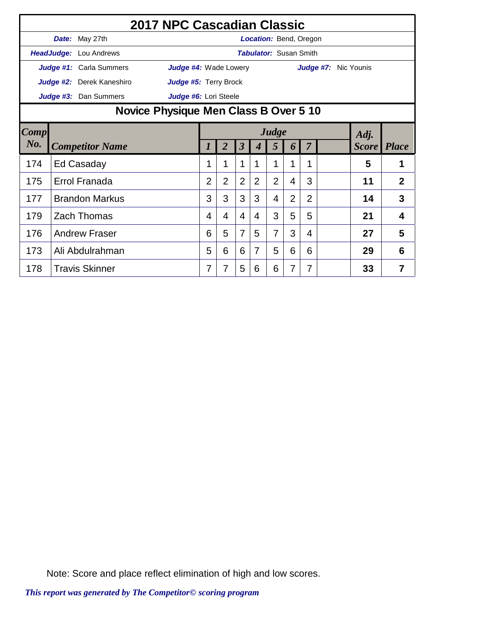|        | 2017 NPC Cascadian Classic            |                              |                |                |                         |                  |                               |                |                |                      |              |                |
|--------|---------------------------------------|------------------------------|----------------|----------------|-------------------------|------------------|-------------------------------|----------------|----------------|----------------------|--------------|----------------|
|        | Date: May 27th                        |                              |                |                |                         |                  | Location: Bend, Oregon        |                |                |                      |              |                |
|        | HeadJudge: Lou Andrews                |                              |                |                |                         |                  | <b>Tabulator: Susan Smith</b> |                |                |                      |              |                |
|        | Judge #1: Carla Summers               | <b>Judge #4: Wade Lowery</b> |                |                |                         |                  |                               |                |                | Judge #7: Nic Younis |              |                |
|        | Judge #2: Derek Kaneshiro             | Judge #5: Terry Brock        |                |                |                         |                  |                               |                |                |                      |              |                |
|        | Judge #3: Dan Summers                 | Judge #6: Lori Steele        |                |                |                         |                  |                               |                |                |                      |              |                |
|        | Novice Physique Men Class B Over 5 10 |                              |                |                |                         |                  |                               |                |                |                      |              |                |
| Comp   | Judge<br>Adj.                         |                              |                |                |                         |                  |                               |                |                |                      |              |                |
| $N0$ . | <b>Competitor Name</b>                |                              | 1              | $\overline{2}$ | $\overline{\mathbf{3}}$ | $\boldsymbol{4}$ | 5                             | 6              | $\overline{7}$ |                      | <b>Score</b> | <b>Place</b>   |
| 174    | Ed Casaday                            |                              | 1              |                | 1                       | 1                | 1                             | 1              | 1              |                      | 5            |                |
| 175    | Errol Franada                         |                              | $\overline{2}$ | $\overline{2}$ | $\overline{2}$          | $\overline{2}$   | $\overline{2}$                | 4              | 3              |                      | 11           | $\overline{2}$ |
| 177    | <b>Brandon Markus</b>                 |                              | 3              | 3              | 3                       | 3                | 4                             | $\overline{2}$ | $\overline{2}$ |                      | 14           | 3              |
| 179    | <b>Zach Thomas</b>                    |                              | 4              | 4              | 4                       | 4                | 3                             | 5              | 5              |                      | 21           | $\overline{4}$ |
| 176    | <b>Andrew Fraser</b>                  |                              | 6              | 5              | $\overline{7}$          | 5                | 7                             | 3              | 4              |                      | 27           | 5              |
| 173    | Ali Abdulrahman                       |                              | 5              | 6              | 6                       | $\overline{7}$   | 5                             | 6              | 6              |                      | 29           | 6              |
| 178    | <b>Travis Skinner</b>                 |                              | 7              |                | 5                       | 6                | 6                             | 7              | 7              |                      | 33           | $\overline{7}$ |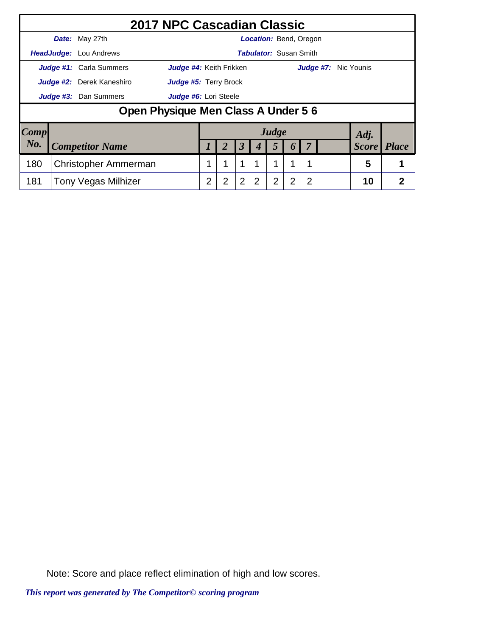|                        | 2017 NPC Cascadian Classic          |                                |                |                |                      |                               |                |                  |   |                             |              |                |
|------------------------|-------------------------------------|--------------------------------|----------------|----------------|----------------------|-------------------------------|----------------|------------------|---|-----------------------------|--------------|----------------|
|                        | Date: May 27th                      |                                |                |                |                      | <b>Location: Bend, Oregon</b> |                |                  |   |                             |              |                |
|                        | <b>HeadJudge:</b> Lou Andrews       |                                |                |                |                      | <b>Tabulator: Susan Smith</b> |                |                  |   |                             |              |                |
|                        | <b>Judge #1:</b> Carla Summers      | <b>Judge #4: Keith Frikken</b> |                |                |                      |                               |                |                  |   | <b>Judge #7:</b> Nic Younis |              |                |
|                        | Judge #2: Derek Kaneshiro           | <b>Judge #5: Terry Brock</b>   |                |                |                      |                               |                |                  |   |                             |              |                |
|                        | Judge #3: Dan Summers               | Judge #6: Lori Steele          |                |                |                      |                               |                |                  |   |                             |              |                |
|                        | Open Physique Men Class A Under 5 6 |                                |                |                |                      |                               |                |                  |   |                             |              |                |
| $\lfloor Comp \rfloor$ |                                     |                                |                |                |                      |                               | Judge          |                  |   |                             | Adj.         |                |
| No.                    | <b>Competitor Name</b>              |                                |                | 2              | $\boldsymbol{\beta}$ | 4                             | 5              | $\boldsymbol{b}$ | 7 |                             | <b>Score</b> | <i>Place</i>   |
| 180                    | Christopher Ammerman                |                                | 1              | 1              | $\mathbf 1$          |                               |                |                  | 1 |                             | 5            |                |
| 181                    | <b>Tony Vegas Milhizer</b>          |                                | $\overline{2}$ | $\overline{2}$ | $\overline{2}$       | 2                             | $\overline{2}$ | 2                | 2 |                             | 10           | $\overline{2}$ |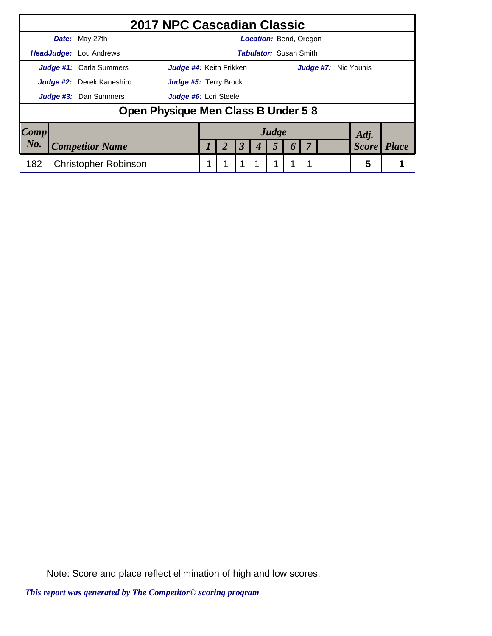|         |            | 2017 NPC Cascadian Classic                                       |  |   |                               |  |                             |              |       |
|---------|------------|------------------------------------------------------------------|--|---|-------------------------------|--|-----------------------------|--------------|-------|
|         |            | <b>Date:</b> May 27th                                            |  |   | <b>Location: Bend, Oregon</b> |  |                             |              |       |
|         | HeadJudge: | Lou Andrews                                                      |  |   | <b>Tabulator:</b> Susan Smith |  |                             |              |       |
|         |            | <b>Judge #1:</b> Carla Summers<br><b>Judge #4:</b> Keith Frikken |  |   |                               |  | <b>Judge #7:</b> Nic Younis |              |       |
|         |            | Judge #2: Derek Kaneshiro<br>Judge #5: Terry Brock               |  |   |                               |  |                             |              |       |
|         |            | <b>Judge #3:</b> Dan Summers<br>Judge #6: Lori Steele            |  |   |                               |  |                             |              |       |
|         |            | Open Physique Men Class B Under 5 8                              |  |   |                               |  |                             |              |       |
| Comp    |            |                                                                  |  |   | Judge                         |  |                             | Adj.         |       |
| $N_{0}$ |            | <b>Competitor Name</b>                                           |  | 3 |                               |  |                             | <b>Score</b> | Place |
| 182     |            | <b>Christopher Robinson</b>                                      |  | 1 | 1                             |  |                             | 5            |       |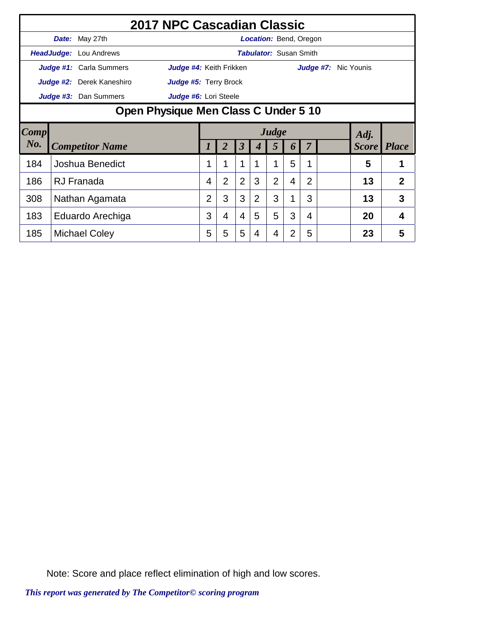|             | 2017 NPC Cascadian Classic           |                         |                |                |                |   |                               |                  |                |                      |    |                    |
|-------------|--------------------------------------|-------------------------|----------------|----------------|----------------|---|-------------------------------|------------------|----------------|----------------------|----|--------------------|
|             | Date: May 27th                       |                         |                |                |                |   | Location: Bend, Oregon        |                  |                |                      |    |                    |
|             | <b>HeadJudge:</b> Lou Andrews        |                         |                |                |                |   | <b>Tabulator:</b> Susan Smith |                  |                |                      |    |                    |
|             | Judge #1: Carla Summers              | Judge #4: Keith Frikken |                |                |                |   |                               |                  |                | Judge #7: Nic Younis |    |                    |
|             | Judge #2: Derek Kaneshiro            | Judge #5: Terry Brock   |                |                |                |   |                               |                  |                |                      |    |                    |
|             | Judge #3: Dan Summers                | Judge #6: Lori Steele   |                |                |                |   |                               |                  |                |                      |    |                    |
|             | Open Physique Men Class C Under 5 10 |                         |                |                |                |   |                               |                  |                |                      |    |                    |
| <b>Comp</b> |                                      | Judge<br>Adj.           |                |                |                |   |                               |                  |                |                      |    |                    |
| $N0$ .      | <b>Competitor Name</b>               |                         |                |                | 3              |   | 5                             | $\boldsymbol{0}$ |                |                      |    | <b>Score</b> Place |
| 184         | Joshua Benedict                      |                         |                |                |                |   | 1                             | 5                |                |                      | 5  |                    |
| 186         | <b>RJ</b> Franada                    |                         | 4              | $\overline{2}$ | $\overline{2}$ | 3 | $\overline{2}$                | 4                | $\overline{2}$ |                      | 13 | $\overline{2}$     |
| 308         | Nathan Agamata                       |                         | $\overline{2}$ | 3              | 3              | 2 | 3                             | 1                | 3              |                      | 13 | 3                  |
| 183         | Eduardo Arechiga                     |                         | 3              | 4              | 4              | 5 | 5                             | 3                | 4              |                      | 20 | 4                  |
| 185         | Michael Coley                        |                         | 5              | 5              | 5              | 4 | 4                             | 2                | 5              |                      | 23 | 5                  |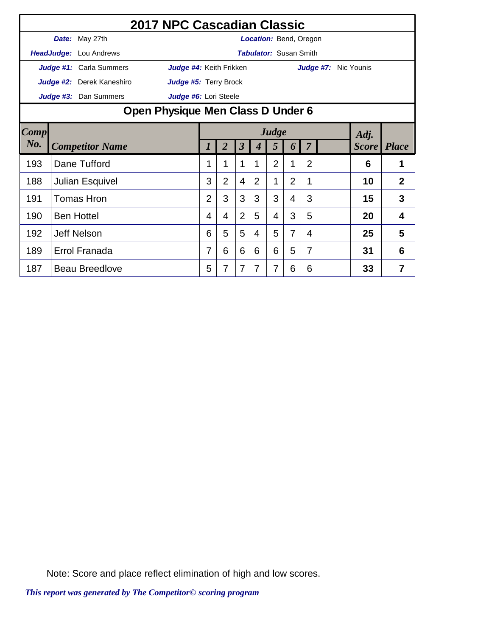|                | 2017 NPC Cascadian Classic        |                         |                |                |                         |                               |                |                |                |           |                    |                |
|----------------|-----------------------------------|-------------------------|----------------|----------------|-------------------------|-------------------------------|----------------|----------------|----------------|-----------|--------------------|----------------|
|                | Date: May 27th                    |                         |                |                |                         | Location: Bend, Oregon        |                |                |                |           |                    |                |
|                | HeadJudge: Lou Andrews            |                         |                |                |                         | <b>Tabulator: Susan Smith</b> |                |                |                |           |                    |                |
|                | Judge #1: Carla Summers           | Judge #4: Keith Frikken |                |                |                         |                               |                |                |                | Judge #7: | Nic Younis         |                |
|                | <b>Judge #2:</b> Derek Kaneshiro  | Judge #5: Terry Brock   |                |                |                         |                               |                |                |                |           |                    |                |
|                | Judge #3: Dan Summers             | Judge #6: Lori Steele   |                |                |                         |                               |                |                |                |           |                    |                |
|                | Open Physique Men Class D Under 6 |                         |                |                |                         |                               |                |                |                |           |                    |                |
| $\boxed{Comp}$ |                                   | Judge<br>Adj.           |                |                |                         |                               |                |                |                |           |                    |                |
| No.            | <b>Competitor Name</b>            |                         | 1              | $\overline{2}$ | $\overline{\mathbf{3}}$ | $\boldsymbol{4}$              | 5              | 6              | $\overline{7}$ |           | <b>Score</b> Place |                |
| 193            | Dane Tufford                      |                         | 1              |                | 1                       |                               | $\overline{2}$ | 1              | $\overline{2}$ |           | 6                  |                |
| 188            | Julian Esquivel                   |                         | 3              | $\overline{2}$ | 4                       | $\overline{2}$                | 1              | $\overline{2}$ | 1              |           | 10                 | $\overline{2}$ |
| 191            | <b>Tomas Hron</b>                 |                         | $\overline{2}$ | 3              | 3                       | 3                             | 3              | 4              | 3              |           | 15                 | 3              |
| 190            | <b>Ben Hottel</b>                 |                         | 4              | 4              | $\overline{2}$          | 5                             | 4              | 3              | 5              |           | 20                 | $\overline{4}$ |
| 192            | <b>Jeff Nelson</b>                |                         | 6              | 5              | 5                       | 4                             | 5              | 7              | 4              |           | 25                 | 5              |
| 189            | <b>Errol Franada</b>              |                         | $\overline{7}$ | 6              | 6                       | 6                             | 6              | 5              | $\overline{7}$ |           | 31                 | 6              |
| 187            | <b>Beau Breedlove</b>             |                         | 5              | 7              | 7                       | 7                             | 7              | 6              | 6              |           | 33                 | 7              |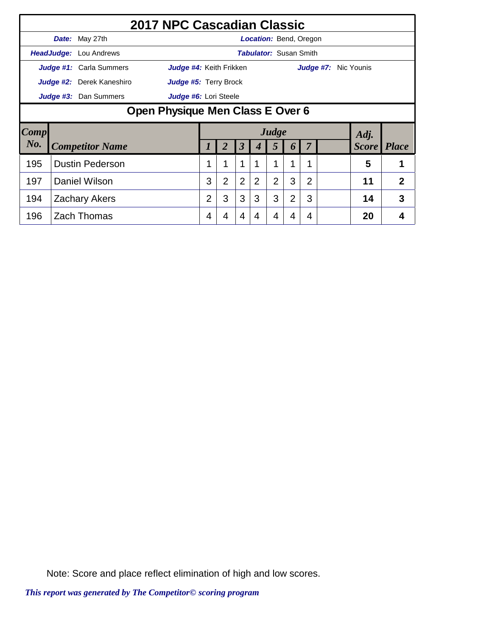|      |                                  |                           | 2017 NPC Cascadian Classic |                |                |                      |                |                               |                |                |  |  |                    |   |
|------|----------------------------------|---------------------------|----------------------------|----------------|----------------|----------------------|----------------|-------------------------------|----------------|----------------|--|--|--------------------|---|
|      |                                  | <b>Date:</b> May 27th     |                            |                |                |                      |                | <b>Location:</b> Bend, Oregon |                |                |  |  |                    |   |
|      |                                  | HeadJudge: Lou Andrews    |                            |                |                |                      |                | <b>Tabulator:</b> Susan Smith |                |                |  |  |                    |   |
|      |                                  | Judge #1: Carla Summers   | Judge #4: Keith Frikken    |                |                |                      |                |                               |                | Judge #7:      |  |  | Nic Younis         |   |
|      |                                  | Judge #2: Derek Kaneshiro | Judge #5: Terry Brock      |                |                |                      |                |                               |                |                |  |  |                    |   |
|      |                                  | Judge #3: Dan Summers     | Judge #6: Lori Steele      |                |                |                      |                |                               |                |                |  |  |                    |   |
|      | Open Physique Men Class E Over 6 |                           |                            |                |                |                      |                |                               |                |                |  |  |                    |   |
| Comp |                                  |                           |                            |                |                |                      |                | Judge                         |                |                |  |  | Adj.               |   |
| No.  |                                  | <b>Competitor Name</b>    |                            | $\prime$       | 2              | $\boldsymbol{\beta}$ | 4              | 5                             | 6              |                |  |  | <b>Score</b> Place |   |
| 195  |                                  | <b>Dustin Pederson</b>    |                            | 1              |                | 1                    | 1              | 1                             | 1              | 1              |  |  | 5                  |   |
| 197  |                                  | <b>Daniel Wilson</b>      |                            | 3              | $\overline{2}$ | $\overline{2}$       | $\overline{2}$ | $\overline{2}$                | 3              | $\overline{2}$ |  |  | 11                 | 2 |
| 194  |                                  | <b>Zachary Akers</b>      |                            | $\overline{2}$ | 3              | 3                    | 3              | 3                             | $\overline{2}$ | 3              |  |  | 14                 | 3 |
| 196  |                                  | <b>Zach Thomas</b>        |                            | 4              | 4              | 4                    | 4              | 4                             | 4              | 4              |  |  | 20                 | 4 |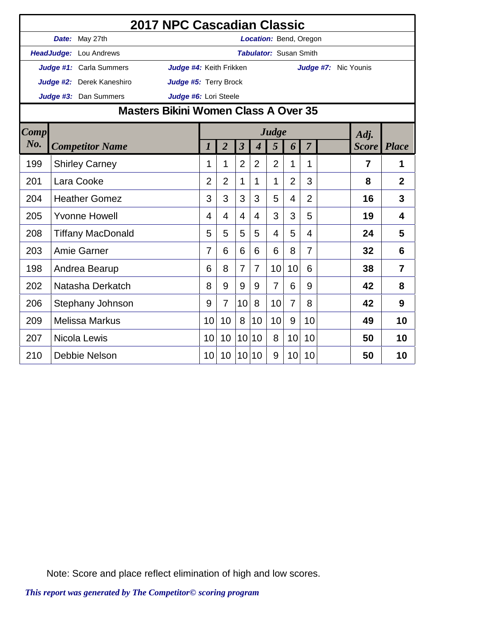|             |                           | 2017 NPC Cascadian Classic           |                 |                |                 |                             |                               |                |                |                      |                    |                |
|-------------|---------------------------|--------------------------------------|-----------------|----------------|-----------------|-----------------------------|-------------------------------|----------------|----------------|----------------------|--------------------|----------------|
|             | Date: May 27th            |                                      |                 |                |                 |                             | Location: Bend, Oregon        |                |                |                      |                    |                |
|             | HeadJudge: Lou Andrews    |                                      |                 |                |                 |                             | <b>Tabulator: Susan Smith</b> |                |                |                      |                    |                |
|             | Judge #1: Carla Summers   | Judge #4: Keith Frikken              |                 |                |                 |                             |                               |                |                | Judge #7: Nic Younis |                    |                |
|             | Judge #2: Derek Kaneshiro | Judge #5: Terry Brock                |                 |                |                 |                             |                               |                |                |                      |                    |                |
|             | Judge #3: Dan Summers     | Judge #6: Lori Steele                |                 |                |                 |                             |                               |                |                |                      |                    |                |
|             |                           | Masters Bikini Women Class A Over 35 |                 |                |                 |                             |                               |                |                |                      |                    |                |
| <b>Comp</b> |                           |                                      |                 |                |                 |                             | Judge                         |                |                |                      | Adj.               |                |
| No.         | <b>Competitor Name</b>    |                                      | 1               | $\overline{2}$ | $\mathfrak{z}$  | $\overline{\boldsymbol{4}}$ | 5                             | 6              | $\overline{7}$ |                      | <b>Score</b> Place |                |
| 199         | <b>Shirley Carney</b>     |                                      | 1               | 1              | $\overline{2}$  | $\overline{2}$              | $\overline{2}$                | 1              | 1              |                      | $\overline{7}$     | 1              |
| 201         | Lara Cooke                |                                      | $\overline{2}$  | $\overline{2}$ | 1               | 1                           | 1                             | $\overline{2}$ | 3              |                      | 8                  | $\overline{2}$ |
| 204         | <b>Heather Gomez</b>      |                                      | 3               | 3              | 3               | 3                           | 5                             | 4              | $\overline{2}$ |                      | 16                 | 3              |
| 205         | <b>Yvonne Howell</b>      |                                      | 4               | 4              | 4               | 4                           | 3                             | 3              | 5              |                      | 19                 | 4              |
| 208         | <b>Tiffany MacDonald</b>  |                                      | 5               | 5              | 5               | 5                           | 4                             | 5              | 4              |                      | 24                 | 5              |
| 203         | Amie Garner               |                                      | 7               | 6              | 6               | 6                           | 6                             | 8              | $\overline{7}$ |                      | 32                 | 6              |
| 198         | Andrea Bearup             |                                      | 6               | 8              | 7               | 7                           | 10                            | 10             | 6              |                      | 38                 | $\overline{7}$ |
| 202         | Natasha Derkatch          |                                      | 8               | 9              | 9               | 9                           | $\overline{7}$                | 6              | 9              |                      | 42                 | 8              |
| 206         | Stephany Johnson          |                                      | 9               | $\overline{7}$ | 10              | 8                           | 10                            | $\overline{7}$ | 8              |                      | 42                 | 9              |
| 209         | <b>Melissa Markus</b>     |                                      | 10              | 10             | 8               | 10                          | 10                            | 9              | 10             |                      | 49                 | 10             |
| 207         | Nicola Lewis              |                                      | 10              | 10             | 10 <sup>°</sup> | 10                          | 8                             | 10             | 10             |                      | 50                 | 10             |
| 210         | Debbie Nelson             |                                      | 10 <sup>°</sup> | 10             | 10 <sup>°</sup> | 10                          | 9                             | 10             | 10             |                      | 50                 | 10             |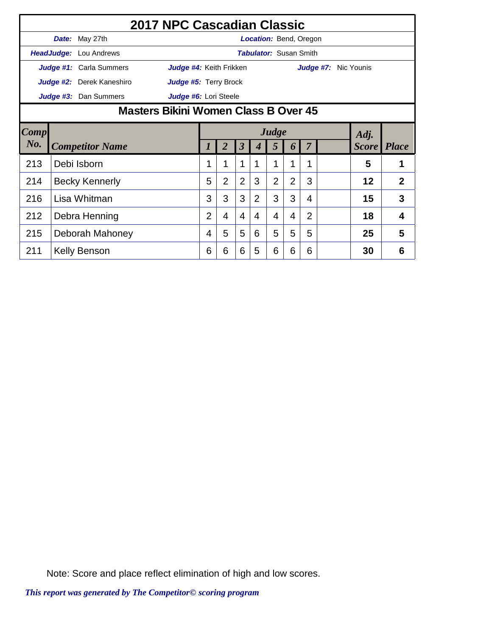|      | 2017 NPC Cascadian Classic    |                                               |                |                |                      |   |                               |                |                |                      |  |                    |                |
|------|-------------------------------|-----------------------------------------------|----------------|----------------|----------------------|---|-------------------------------|----------------|----------------|----------------------|--|--------------------|----------------|
|      | Date: May 27th                |                                               |                |                |                      |   | <b>Location:</b> Bend, Oregon |                |                |                      |  |                    |                |
|      | <b>HeadJudge:</b> Lou Andrews |                                               |                |                |                      |   | <b>Tabulator: Susan Smith</b> |                |                |                      |  |                    |                |
|      | Judge #1: Carla Summers       | Judge #4: Keith Frikken                       |                |                |                      |   |                               |                |                | Judge #7: Nic Younis |  |                    |                |
|      | Judge #2: Derek Kaneshiro     | Judge #5: Terry Brock                         |                |                |                      |   |                               |                |                |                      |  |                    |                |
|      | Judge #3: Dan Summers         | Judge #6: Lori Steele                         |                |                |                      |   |                               |                |                |                      |  |                    |                |
|      |                               | Masters Bikini Women Class B Over 45<br>Judge |                |                |                      |   |                               |                |                |                      |  |                    |                |
| Comp |                               | Adj.                                          |                |                |                      |   |                               |                |                |                      |  |                    |                |
| No.  | <b>Competitor Name</b>        |                                               |                | 2              | $\boldsymbol{\beta}$ |   | 5                             | 6              | 7              |                      |  | <b>Score</b> Place |                |
| 213  | Debi Isborn                   |                                               | 1              |                | $\mathbf 1$          | 1 | $\mathbf{1}$                  | 1              | 1              |                      |  | 5                  | 1              |
| 214  | <b>Becky Kennerly</b>         |                                               | 5              | $\overline{2}$ | $\overline{2}$       | 3 | $\overline{2}$                | $\overline{2}$ | 3              |                      |  | 12                 | $\overline{2}$ |
| 216  | Lisa Whitman                  |                                               | 3              | 3              | 3                    | 2 | 3                             | 3              | 4              |                      |  | 15                 | 3              |
| 212  | Debra Henning                 |                                               | $\overline{2}$ | 4              | 4                    | 4 | 4                             | 4              | $\overline{2}$ |                      |  | 18                 | 4              |
| 215  | Deborah Mahoney               |                                               | 4              | 5              | 5                    | 6 | 5                             | 5              | 5              |                      |  | 25                 | 5              |
| 211  | <b>Kelly Benson</b>           |                                               | 6              | 6              | 6                    | 5 | 6                             | 6              | 6              |                      |  | 30                 | 6              |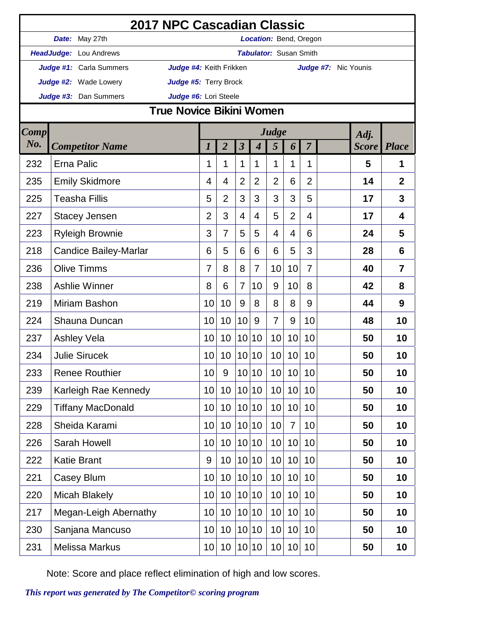|             | 2017 NPC Cascadian Classic                         |                |                |                      |                  |                               |                |                |                      |              |                |
|-------------|----------------------------------------------------|----------------|----------------|----------------------|------------------|-------------------------------|----------------|----------------|----------------------|--------------|----------------|
|             | Date: May 27th                                     |                |                |                      |                  | <b>Location: Bend, Oregon</b> |                |                |                      |              |                |
|             | HeadJudge: Lou Andrews                             |                |                |                      |                  | <b>Tabulator: Susan Smith</b> |                |                |                      |              |                |
|             | Judge #1: Carla Summers<br>Judge #4: Keith Frikken |                |                |                      |                  |                               |                |                | Judge #7: Nic Younis |              |                |
|             | Judge #2: Wade Lowery<br>Judge #5: Terry Brock     |                |                |                      |                  |                               |                |                |                      |              |                |
|             | Judge #6: Lori Steele<br>Judge #3: Dan Summers     |                |                |                      |                  |                               |                |                |                      |              |                |
|             | <b>True Novice Bikini Women</b>                    |                |                |                      |                  |                               |                |                |                      |              |                |
| <b>Comp</b> |                                                    |                |                |                      |                  | Judge                         |                |                |                      | Adj.         |                |
| No.         | <b>Competitor Name</b>                             | 1              | $\overline{2}$ | $\boldsymbol{\beta}$ | $\boldsymbol{4}$ | 5                             | 6              | $\overline{7}$ |                      | <b>Score</b> | <b>Place</b>   |
| 232         | Erna Palic                                         | 1              | 1              | 1                    | 1                | 1                             | 1              | 1              |                      | 5            | 1              |
| 235         | <b>Emily Skidmore</b>                              | 4              | $\overline{4}$ | $\overline{2}$       | $\overline{2}$   | $\overline{2}$                | 6              | $\overline{2}$ |                      | 14           | $\overline{2}$ |
| 225         | <b>Teasha Fillis</b>                               | 5              | $\overline{2}$ | 3                    | 3                | 3                             | 3              | 5              |                      | 17           | 3              |
| 227         | <b>Stacey Jensen</b>                               | $\overline{2}$ | 3              | 4                    | $\overline{4}$   | 5                             | $\overline{2}$ | 4              |                      | 17           | $\overline{4}$ |
| 223         | <b>Ryleigh Brownie</b>                             | 3              | $\overline{7}$ | 5                    | 5                | $\overline{4}$                | $\overline{4}$ | 6              |                      | 24           | 5              |
| 218         | <b>Candice Bailey-Marlar</b>                       | 6              | 5              | 6                    | 6                | 6                             | 5              | 3              |                      | 28           | 6              |
| 236         | <b>Olive Timms</b>                                 | 7              | 8              | 8                    | $\overline{7}$   | 10                            | 10             | $\overline{7}$ |                      | 40           | $\overline{7}$ |
| 238         | <b>Ashlie Winner</b>                               | 8              | 6              | 7                    | 10               | 9                             | 10             | 8              |                      | 42           | 8              |
| 219         | Miriam Bashon                                      | 10             | 10             | 9                    | 8                | 8                             | 8              | 9              |                      | 44           | 9              |
| 224         | Shauna Duncan                                      | 10             | 10             | 10                   | 9                | $\overline{7}$                | 9              | 10             |                      | 48           | 10             |
| 237         | <b>Ashley Vela</b>                                 | 10             | 10             | 10                   | 10               | 10                            | 10             | 10             |                      | 50           | 10             |
| 234         | <b>Julie Sirucek</b>                               | 10             | 10             |                      | 10 10            | 10                            | 10             | 10             |                      | 50           | 10             |
| 233         | <b>Renee Routhier</b>                              | 10             | 9              |                      | 10 10            | 10                            | 10             | 10             |                      | 50           | 10             |
| 239         | Karleigh Rae Kennedy                               | 10             | 10             | 10                   | 10               | 10                            | 10             | 10             |                      | 50           | 10             |
| 229         | <b>Tiffany MacDonald</b>                           | 10             | 10             |                      | 10 10            | 10                            | 10             | 10             |                      | 50           | 10             |
| 228         | Sheida Karami                                      | 10             | 10             |                      | 10 10            | 10                            | $\overline{7}$ | 10             |                      | 50           | 10             |
| 226         | Sarah Howell                                       | 10             | 10             |                      | 10 10            | 10                            | 10             | 10             |                      | 50           | 10             |
| 222         | <b>Katie Brant</b>                                 | 9              | 10             | 10                   | 10               | 10                            | 10             | 10             |                      | 50           | 10             |
| 221         | Casey Blum                                         | 10             | 10             |                      | 10 10            | 10                            | 10             | 10             |                      | 50           | 10             |
| 220         | <b>Micah Blakely</b>                               | 10             | 10             |                      | 10 10            | 10                            | 10             | 10             |                      | 50           | 10             |
| 217         | Megan-Leigh Abernathy                              | 10             | 10             | 10                   | 10               | 10                            | 10             | 10             |                      | 50           | 10             |
| 230         | Sanjana Mancuso                                    | 10             | 10             |                      | 10 10            | 10                            | 10             | 10             |                      | 50           | 10             |
| 231         | <b>Melissa Markus</b>                              | 10             | 10             |                      | 10 10            | 10                            | 10             | 10             |                      | 50           | 10             |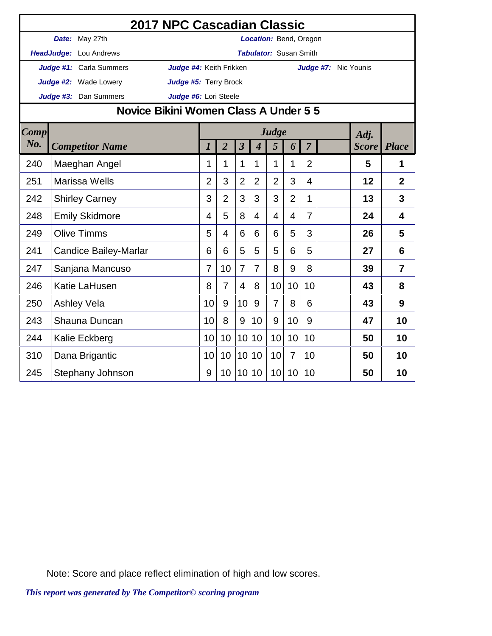|             |                                       | 2017 NPC Cascadian Classic |                  |                |                         |                             |                               |                |                |                      |                    |                |
|-------------|---------------------------------------|----------------------------|------------------|----------------|-------------------------|-----------------------------|-------------------------------|----------------|----------------|----------------------|--------------------|----------------|
|             | Date: May 27th                        |                            |                  |                |                         |                             | Location: Bend, Oregon        |                |                |                      |                    |                |
|             | HeadJudge: Lou Andrews                |                            |                  |                |                         |                             | <b>Tabulator: Susan Smith</b> |                |                |                      |                    |                |
|             | Judge #1: Carla Summers               | Judge #4: Keith Frikken    |                  |                |                         |                             |                               |                |                | Judge #7: Nic Younis |                    |                |
|             | <b>Judge #2:</b> Wade Lowery          | Judge #5: Terry Brock      |                  |                |                         |                             |                               |                |                |                      |                    |                |
|             | Judge #3: Dan Summers                 | Judge #6: Lori Steele      |                  |                |                         |                             |                               |                |                |                      |                    |                |
|             | Novice Bikini Women Class A Under 5 5 |                            |                  |                |                         |                             |                               |                |                |                      |                    |                |
| <b>Comp</b> |                                       |                            |                  |                |                         |                             | Judge                         |                |                |                      | Adj.               |                |
| No.         | <b>Competitor Name</b>                |                            | $\boldsymbol{l}$ | $\overline{2}$ | $\overline{\mathbf{3}}$ | $\overline{\boldsymbol{4}}$ | 5                             | 6              | $\overline{7}$ |                      | <b>Score</b> Place |                |
| 240         | Maeghan Angel                         |                            | 1                | 1              | 1                       | 1                           | 1                             | 1              | $\overline{2}$ |                      | 5                  | 1              |
| 251         | <b>Marissa Wells</b>                  |                            | $\overline{2}$   | 3              | $\overline{2}$          | $\overline{2}$              | $\overline{2}$                | 3              | 4              |                      | 12                 | $\overline{2}$ |
| 242         | <b>Shirley Carney</b>                 |                            | 3                | $\overline{2}$ | 3                       | 3                           | 3                             | $\overline{2}$ | 1              |                      | 13                 | 3              |
| 248         | <b>Emily Skidmore</b>                 |                            | 4                | 5              | 8                       | 4                           | 4                             | 4              | $\overline{7}$ |                      | 24                 | 4              |
| 249         | <b>Olive Timms</b>                    |                            | 5                | 4              | 6                       | 6                           | 6                             | 5              | 3              |                      | 26                 | 5              |
| 241         | <b>Candice Bailey-Marlar</b>          |                            | 6                | 6              | 5                       | 5                           | 5                             | 6              | 5              |                      | 27                 | 6              |
| 247         | Sanjana Mancuso                       |                            | 7                | 10             | $\overline{7}$          | $\overline{7}$              | 8                             | 9              | 8              |                      | 39                 | $\overline{7}$ |
| 246         | Katie LaHusen                         |                            | 8                | 7              | 4                       | 8                           | 10                            | 10             | 10             |                      | 43                 | 8              |
| 250         | <b>Ashley Vela</b>                    |                            | 10               | 9              | 10                      | 9                           | $\overline{7}$                | 8              | 6              |                      | 43                 | 9              |
| 243         | Shauna Duncan                         |                            | 10               | 8              | 9                       | 10                          | 9                             | 10             | 9              |                      | 47                 | 10             |
| 244         | Kalie Eckberg                         |                            | 10               | 10             | 10 <sup>1</sup>         | 10                          | 10                            | 10             | 10             |                      | 50                 | 10             |
| 310         | Dana Brigantic                        |                            | 10               | 10             | 10                      | 10                          | 10                            | $\overline{7}$ | 10             |                      | 50                 | 10             |
| 245         | Stephany Johnson                      |                            | 9                | 10             | 10 <sup>1</sup>         | 10                          | 10                            | 10             | 10             |                      | 50                 | 10             |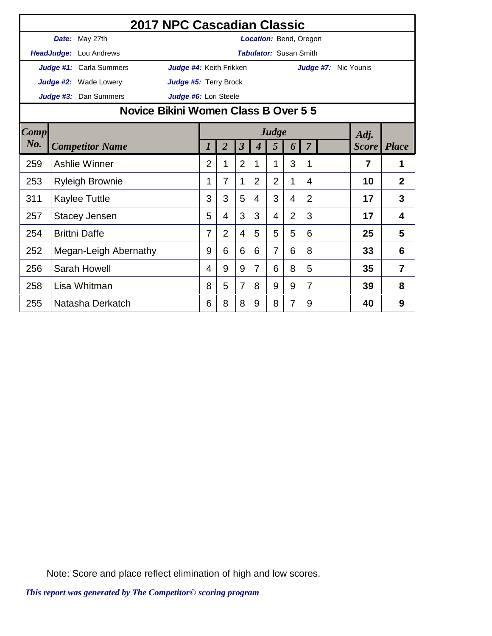|      |                                      | 2017 NPC Cascadian Classic                                                                                     |                |                |                |   |                               |                |                |                      |    |                |
|------|--------------------------------------|----------------------------------------------------------------------------------------------------------------|----------------|----------------|----------------|---|-------------------------------|----------------|----------------|----------------------|----|----------------|
|      | Date: May 27th                       |                                                                                                                |                |                |                |   | <b>Location: Bend, Oregon</b> |                |                |                      |    |                |
|      | HeadJudge: Lou Andrews               |                                                                                                                |                |                |                |   | <b>Tabulator: Susan Smith</b> |                |                |                      |    |                |
|      | Judge #1: Carla Summers              | Judge #4: Keith Frikken                                                                                        |                |                |                |   |                               |                |                | Judge #7: Nic Younis |    |                |
|      | <b>Judge #2:</b> Wade Lowery         | Judge #5: Terry Brock                                                                                          |                |                |                |   |                               |                |                |                      |    |                |
|      | Judge #3: Dan Summers                | Judge #6: Lori Steele                                                                                          |                |                |                |   |                               |                |                |                      |    |                |
|      | Novice Bikini Women Class B Over 5 5 |                                                                                                                |                |                |                |   |                               |                |                |                      |    |                |
| Comp |                                      | Judge<br>Adj.<br>$\overline{2}$<br>$\boldsymbol{\beta}$<br>$\overline{7}$<br><b>Score</b> Place<br>5<br>6<br>4 |                |                |                |   |                               |                |                |                      |    |                |
| No.  | <b>Competitor Name</b>               |                                                                                                                |                |                |                |   |                               |                |                |                      |    |                |
| 259  | Ashlie Winner                        |                                                                                                                | $\overline{2}$ | 1              | $\overline{2}$ | 1 | 1                             | 3              | 1              |                      | 7  | 1              |
| 253  | <b>Ryleigh Brownie</b>               |                                                                                                                | 1              | $\overline{7}$ | 1              | 2 | $\overline{2}$                | 1              | 4              |                      | 10 | $\overline{2}$ |
| 311  | <b>Kaylee Tuttle</b>                 |                                                                                                                | 3              | 3              | 5              | 4 | 3                             | 4              | $\overline{2}$ |                      | 17 | 3              |
| 257  | <b>Stacey Jensen</b>                 |                                                                                                                | 5              | 4              | 3              | 3 | 4                             | $\overline{2}$ | 3              |                      | 17 | 4              |
| 254  | <b>Brittni Daffe</b>                 |                                                                                                                | 7              | $\overline{2}$ | 4              | 5 | 5                             | 5              | 6              |                      | 25 | 5              |
| 252  | Megan-Leigh Abernathy                |                                                                                                                | 9              | 6              | 6              | 6 | $\overline{7}$                | 6              | 8              |                      | 33 | 6              |
| 256  | Sarah Howell                         |                                                                                                                | 4              | 9              | 9              | 7 | 6                             | 8              | 5              |                      | 35 | $\overline{7}$ |
| 258  | Lisa Whitman                         |                                                                                                                | 8              | 5              | $\overline{7}$ | 8 | 9                             | 9              | $\overline{7}$ |                      | 39 | 8              |
| 255  | Natasha Derkatch                     |                                                                                                                | 6              | 8              | 8              | 9 | 8                             | 7              | 9              |                      | 40 | 9              |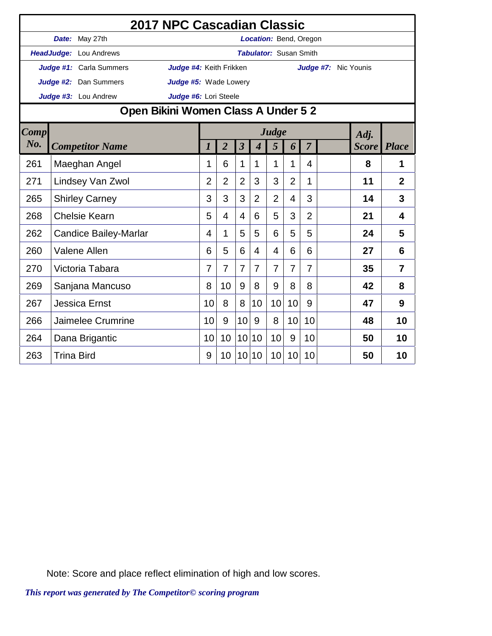|             |                   |                                     | 2017 NPC Cascadian Classic |                |                |                         |                          |                               |                |                |                      |                    |                |
|-------------|-------------------|-------------------------------------|----------------------------|----------------|----------------|-------------------------|--------------------------|-------------------------------|----------------|----------------|----------------------|--------------------|----------------|
|             |                   | Date: May 27th                      |                            |                |                |                         |                          | Location: Bend, Oregon        |                |                |                      |                    |                |
|             |                   | HeadJudge: Lou Andrews              |                            |                |                |                         |                          | <b>Tabulator: Susan Smith</b> |                |                |                      |                    |                |
|             |                   | Judge #1: Carla Summers             | Judge #4: Keith Frikken    |                |                |                         |                          |                               |                |                | Judge #7: Nic Younis |                    |                |
|             |                   | <b>Judge #2:</b> Dan Summers        | Judge #5: Wade Lowery      |                |                |                         |                          |                               |                |                |                      |                    |                |
|             |                   | Judge #3: Lou Andrew                | Judge #6: Lori Steele      |                |                |                         |                          |                               |                |                |                      |                    |                |
|             |                   | Open Bikini Women Class A Under 5 2 |                            |                |                |                         |                          |                               |                |                |                      |                    |                |
| <b>Comp</b> |                   |                                     |                            |                |                |                         |                          | Judge                         |                |                |                      | Adj.               |                |
| No.         |                   | <b>Competitor Name</b>              |                            | 1              | $\overline{2}$ | $\overline{\mathbf{3}}$ | $\overline{\mathcal{A}}$ | 5                             | 6              | $\overline{7}$ |                      | <b>Score</b> Place |                |
| 261         |                   | Maeghan Angel                       |                            | 1              | 6              | $\mathbf{1}$            | 1                        | 1                             | 1              | 4              |                      | 8                  | $\mathbf 1$    |
| 271         |                   | Lindsey Van Zwol                    |                            | $\overline{2}$ | $\overline{2}$ | $\overline{2}$          | 3                        | 3                             | $\overline{2}$ | 1              |                      | 11                 | $\overline{2}$ |
| 265         |                   | <b>Shirley Carney</b>               |                            | 3              | 3              | 3                       | $\overline{2}$           | $\overline{2}$                | 4              | 3              |                      | 14                 | 3              |
| 268         |                   | <b>Chelsie Kearn</b>                |                            | 5              | 4              | 4                       | 6                        | 5                             | 3              | $\overline{2}$ |                      | 21                 | 4              |
| 262         |                   | <b>Candice Bailey-Marlar</b>        |                            | 4              | 1              | 5                       | 5                        | 6                             | 5              | 5              |                      | 24                 | 5              |
| 260         |                   | <b>Valene Allen</b>                 |                            | 6              | 5              | 6                       | $\overline{4}$           | 4                             | 6              | 6              |                      | 27                 | 6              |
| 270         |                   | Victoria Tabara                     |                            | 7              | $\overline{7}$ | $\overline{7}$          | 7                        | $\overline{7}$                | 7              | $\overline{7}$ |                      | 35                 | $\overline{7}$ |
| 269         |                   | Sanjana Mancuso                     |                            | 8              | 10             | 9                       | 8                        | 9                             | 8              | 8              |                      | 42                 | 8              |
| 267         |                   | <b>Jessica Ernst</b>                |                            | 10             | 8              | 8                       | 10                       | 10                            | 10             | 9              |                      | 47                 | 9              |
| 266         |                   | Jaimelee Crumrine                   |                            | 10             | 9              | 10                      | 9                        | 8                             | 10             | 10             |                      | 48                 | 10             |
| 264         |                   | Dana Brigantic                      |                            | 10             | 10             | 10 <sup>1</sup>         | 10                       | 10                            | 9              | 10             |                      | 50                 | 10             |
| 263         | <b>Trina Bird</b> |                                     |                            | 9              | 10             | 10 <sup>1</sup>         | 10                       | 10                            | 10             | 10             |                      | 50                 | 10             |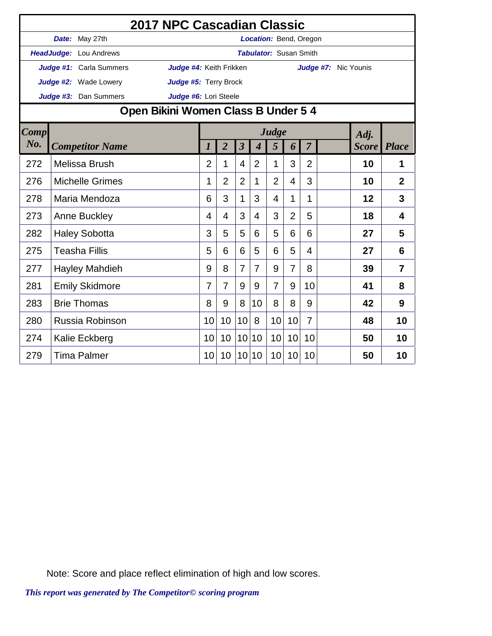|             |                                     | 2017 NPC Cascadian Classic |                |                |                         |                             |                               |                |                         |                      |                    |                |
|-------------|-------------------------------------|----------------------------|----------------|----------------|-------------------------|-----------------------------|-------------------------------|----------------|-------------------------|----------------------|--------------------|----------------|
|             | Date: May 27th                      |                            |                |                |                         |                             | Location: Bend, Oregon        |                |                         |                      |                    |                |
|             | HeadJudge: Lou Andrews              |                            |                |                |                         |                             | <b>Tabulator: Susan Smith</b> |                |                         |                      |                    |                |
|             | Judge #1: Carla Summers             | Judge #4: Keith Frikken    |                |                |                         |                             |                               |                |                         | Judge #7: Nic Younis |                    |                |
|             | <b>Judge #2:</b> Wade Lowery        | Judge #5: Terry Brock      |                |                |                         |                             |                               |                |                         |                      |                    |                |
|             | Judge #3: Dan Summers               | Judge #6: Lori Steele      |                |                |                         |                             |                               |                |                         |                      |                    |                |
|             | Open Bikini Women Class B Under 5 4 |                            |                |                |                         |                             |                               |                |                         |                      |                    |                |
| <b>Comp</b> |                                     |                            |                |                |                         |                             | Judge                         |                |                         |                      | Adj.               |                |
| $N0$ .      | <b>Competitor Name</b>              |                            | 1              | $\overline{2}$ | $\overline{\mathbf{3}}$ | $\overline{\boldsymbol{4}}$ | 5                             | 6              | $\overline{7}$          |                      | <b>Score</b> Place |                |
| 272         | Melissa Brush                       |                            | $\overline{2}$ | 1              | $\overline{4}$          | $\overline{2}$              | 1                             | 3              | $\overline{2}$          |                      | 10                 | 1              |
| 276         | <b>Michelle Grimes</b>              |                            | 1              | $\overline{2}$ | $\overline{2}$          | 1                           | $\overline{2}$                | $\overline{4}$ | 3                       |                      | 10                 | $\overline{2}$ |
| 278         | Maria Mendoza                       |                            | 6              | 3              | $\mathbf 1$             | 3                           | 4                             | 1              | 1                       |                      | 12                 | 3              |
| 273         | <b>Anne Buckley</b>                 |                            | 4              | 4              | 3                       | 4                           | 3                             | $\overline{2}$ | 5                       |                      | 18                 | 4              |
| 282         | <b>Haley Sobotta</b>                |                            | 3              | 5              | 5                       | 6                           | 5                             | 6              | 6                       |                      | 27                 | 5              |
| 275         | <b>Teasha Fillis</b>                |                            | 5              | 6              | 6                       | 5                           | 6                             | 5              | $\overline{\mathbf{4}}$ |                      | 27                 | 6              |
| 277         | Hayley Mahdieh                      |                            | 9              | 8              | 7                       | 7                           | 9                             | $\overline{7}$ | 8                       |                      | 39                 | $\overline{7}$ |
| 281         | <b>Emily Skidmore</b>               |                            | 7              | 7              | 9                       | 9                           | $\overline{7}$                | 9              | 10                      |                      | 41                 | 8              |
| 283         | <b>Brie Thomas</b>                  |                            | 8              | 9              | 8                       | 10                          | 8                             | 8              | 9                       |                      | 42                 | 9              |
| 280         | Russia Robinson                     |                            | 10             | 10             | 10                      | 8                           | 10                            | 10             | $\overline{7}$          |                      | 48                 | 10             |
| 274         | Kalie Eckberg                       |                            | 10             | 10             | 10 <sup>1</sup>         | 10                          | 10                            | 10             | 10                      |                      | 50                 | 10             |
| 279         | Tima Palmer                         |                            | 10             | 10             | 10 <sup>1</sup>         | 10                          | 10                            | 10             | 10                      |                      | 50                 | 10             |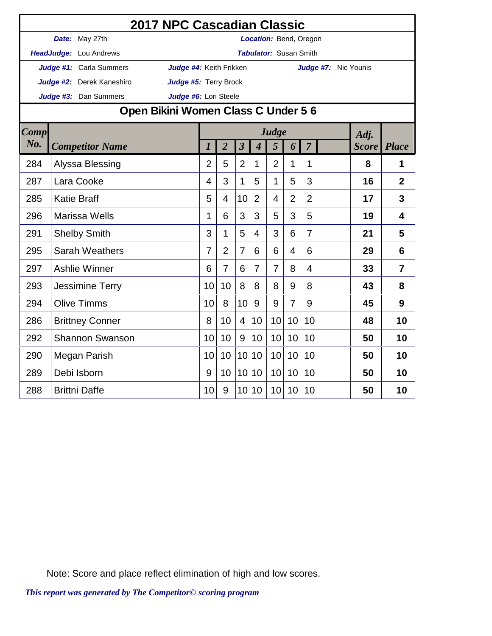| 2017 NPC Cascadian Classic          |                        |                                          |                               |                                                 |                 |                         |                             |                |                |                |    |                         |                |  |
|-------------------------------------|------------------------|------------------------------------------|-------------------------------|-------------------------------------------------|-----------------|-------------------------|-----------------------------|----------------|----------------|----------------|----|-------------------------|----------------|--|
|                                     |                        | Date: May 27th<br>Location: Bend, Oregon |                               |                                                 |                 |                         |                             |                |                |                |    |                         |                |  |
|                                     |                        | HeadJudge: Lou Andrews                   | <b>Tabulator: Susan Smith</b> |                                                 |                 |                         |                             |                |                |                |    |                         |                |  |
|                                     |                        | Judge #1: Carla Summers                  |                               | Judge #4: Keith Frikken<br>Judge #7: Nic Younis |                 |                         |                             |                |                |                |    |                         |                |  |
|                                     |                        | Judge #2: Derek Kaneshiro                |                               | Judge #5: Terry Brock                           |                 |                         |                             |                |                |                |    |                         |                |  |
|                                     |                        | Judge #3: Dan Summers                    | Judge #6: Lori Steele         |                                                 |                 |                         |                             |                |                |                |    |                         |                |  |
| Open Bikini Women Class C Under 5 6 |                        |                                          |                               |                                                 |                 |                         |                             |                |                |                |    |                         |                |  |
| <b>Comp</b>                         |                        |                                          |                               |                                                 |                 |                         | Adj.                        |                |                |                |    |                         |                |  |
| No.                                 | <b>Competitor Name</b> |                                          |                               | $\overline{l}$                                  | $\overline{2}$  | $\overline{\mathbf{3}}$ | $\overline{\boldsymbol{4}}$ | 5              | 6              | $\overline{7}$ |    | <b>Score</b>            | <b>Place</b>   |  |
| 284                                 |                        | Alyssa Blessing                          |                               | $\overline{2}$                                  | 5               | $\overline{2}$          | 1                           | $\overline{2}$ | 1              | 1              |    | 8                       | 1              |  |
| 287                                 | Lara Cooke             |                                          |                               | 4                                               | 3               | $\mathbf{1}$            | 5                           | $\mathbf{1}$   | 5              | 3              |    | 16                      | $\overline{2}$ |  |
| 285                                 | <b>Katie Braff</b>     |                                          |                               | 5                                               | 4               | 10                      | $\overline{2}$              | 4              | $\overline{2}$ | $\overline{2}$ |    | 17                      | 3              |  |
| 296                                 | <b>Marissa Wells</b>   |                                          | 1                             | 6                                               | 3               | 3                       | 5                           | 3              | 5              |                | 19 | $\overline{\mathbf{4}}$ |                |  |
| 291                                 | <b>Shelby Smith</b>    |                                          | 3                             | 1                                               | 5               | $\overline{4}$          | 3                           | 6              | $\overline{7}$ |                | 21 | 5                       |                |  |
| 295                                 | Sarah Weathers         |                                          | 7                             | $\overline{2}$                                  | $\overline{7}$  | 6                       | 6                           | 4              | 6              |                | 29 | 6                       |                |  |
| 297                                 | <b>Ashlie Winner</b>   |                                          |                               | 6                                               | $\overline{7}$  | 6                       | $\overline{7}$              | $\overline{7}$ | 8              | $\overline{4}$ |    | 33                      | $\overline{7}$ |  |
| 293                                 | <b>Jessimine Terry</b> |                                          | 10                            | 10                                              | 8               | 8                       | 8                           | 9              | 8              |                | 43 | 8                       |                |  |
| 294                                 | <b>Olive Timms</b>     |                                          | 10                            | 8                                               | 10              | 9                       | 9                           | $\overline{7}$ | 9              |                | 45 | 9                       |                |  |
| 286                                 | <b>Brittney Conner</b> |                                          | 8                             | 10                                              | $\overline{4}$  | 10                      | 10                          | 10             | 10             |                | 48 | 10                      |                |  |
| 292                                 | <b>Shannon Swanson</b> |                                          | 10                            | 10                                              | 9               | 10                      | 10                          | 10             | 10             |                | 50 | 10                      |                |  |
| 290                                 | Megan Parish           |                                          | 10                            | 10                                              | 10              | 10                      | 10                          | 10             | 10             |                | 50 | 10                      |                |  |
| 289                                 | Debi Isborn            |                                          | 9                             | 10                                              | 10 <sup>1</sup> | 10                      | 10                          | 10             | 10             |                | 50 | 10                      |                |  |
| <b>Brittni Daffe</b><br>288         |                        |                                          | 10                            | 9                                               |                 | 10 10                   | 10                          | 10             | 10             |                | 50 | 10                      |                |  |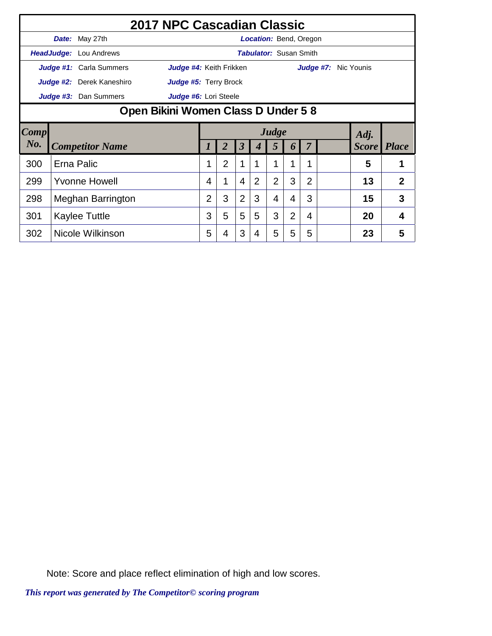|        | 2017 NPC Cascadian Classic          |                                                 |                               |                                              |   |                |   |                |                |                |  |                      |    |                |  |
|--------|-------------------------------------|-------------------------------------------------|-------------------------------|----------------------------------------------|---|----------------|---|----------------|----------------|----------------|--|----------------------|----|----------------|--|
|        |                                     | Date: May 27th<br><b>Location: Bend, Oregon</b> |                               |                                              |   |                |   |                |                |                |  |                      |    |                |  |
|        |                                     | HeadJudge: Lou Andrews                          | <b>Tabulator:</b> Susan Smith |                                              |   |                |   |                |                |                |  |                      |    |                |  |
|        |                                     | Judge #1: Carla Summers                         | Judge #4: Keith Frikken       |                                              |   |                |   |                |                |                |  | Judge #7: Nic Younis |    |                |  |
|        |                                     | <b>Judge #2:</b> Derek Kaneshiro                | Judge #5: Terry Brock         |                                              |   |                |   |                |                |                |  |                      |    |                |  |
|        |                                     | Judge #3: Dan Summers                           | Judge #6: Lori Steele         |                                              |   |                |   |                |                |                |  |                      |    |                |  |
|        | Open Bikini Women Class D Under 5 8 |                                                 |                               |                                              |   |                |   |                |                |                |  |                      |    |                |  |
| Comp   |                                     |                                                 |                               | Judge<br>Adj.<br><b>Score</b><br>3<br>5<br>6 |   |                |   |                |                |                |  |                      |    |                |  |
| $N0$ . |                                     | <b>Competitor Name</b>                          |                               |                                              |   |                |   |                |                |                |  | <b>Place</b>         |    |                |  |
| 300    |                                     | Erna Palic                                      |                               |                                              | 2 | 1              |   | 1              |                | 1              |  |                      | 5  |                |  |
| 299    | <b>Yvonne Howell</b>                |                                                 |                               | 4                                            |   | $\overline{4}$ | 2 | $\overline{2}$ | 3              | $\overline{2}$ |  |                      | 13 | $\overline{2}$ |  |
| 298    | Meghan Barrington                   |                                                 |                               | $\overline{2}$                               | 3 | $\overline{2}$ | 3 | 4              | 4              | 3              |  |                      | 15 | 3              |  |
| 301    |                                     | Kaylee Tuttle                                   |                               | 3                                            | 5 | 5              | 5 | 3              | $\overline{2}$ | 4              |  |                      | 20 | 4              |  |
| 302    | Nicole Wilkinson                    |                                                 |                               | 5                                            | 4 | 3              | 4 | 5              | 5              | 5              |  |                      | 23 | 5              |  |